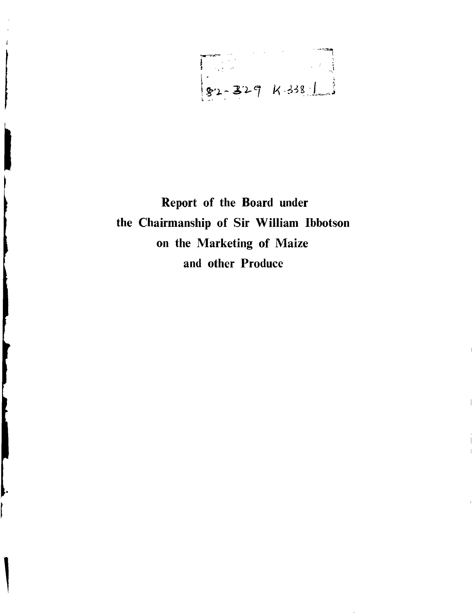$82 - 329$  $\cdot$ ,  $i \frac{1}{2}$  $k$  , 338  $[$   $]$ 

Report of the Board under the Chairmanship of Sir William Ibbotson on the Marketing of Maize and other Produce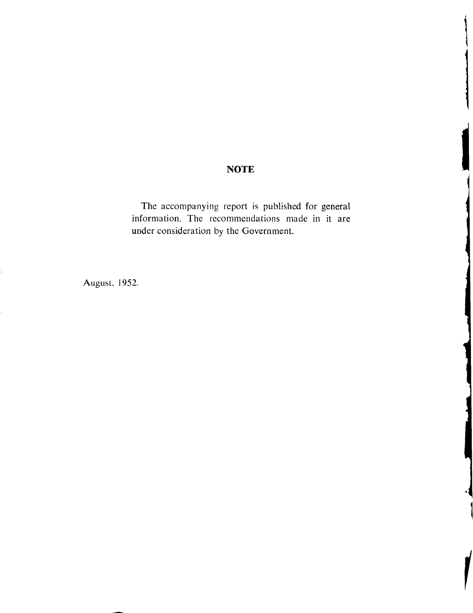# NOTE

The accompanying report is published for general information. The recommendations made in it are under consideration by the Government.

August. 1952.

ţ,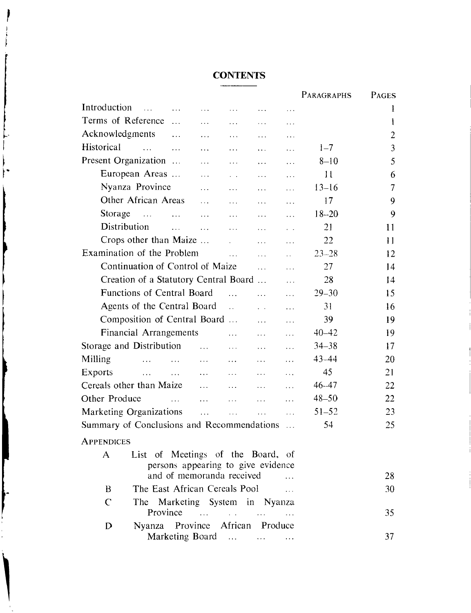# **CONTENTS**

I i i I

I I f"

t t' I

|                                                                                                   |               | <b>PARAGRAPHS</b> | <b>PAGES</b>   |
|---------------------------------------------------------------------------------------------------|---------------|-------------------|----------------|
| Introduction<br>$\sim$<br>$\ddotsc$<br>$\cdots$<br>$\cdots$<br>$\ddotsc$                          | .             |                   | Ł              |
| Terms of Reference<br>$\cdots$<br>$\ddotsc$<br>$\cdot$ .<br>$\cdots$                              | $\ddotsc$     |                   | 1              |
| Acknowledgments<br>$\ddotsc$<br>$\sim$ $\sim$<br>$\sim$ $\sim$<br>$\ldots$                        | $\ddotsc$     |                   | $\overline{2}$ |
| Historical<br>$\ddotsc$<br>$\ddotsc$<br>$\ddotsc$<br>$\ddotsc$<br>$\ddotsc$                       | $\mathbf{r}$  | $1 - 7$           | 3              |
| Present Organization<br>$\cdots$<br>$\ddotsc$<br>$\cdots$                                         | .             | $8 - 10$          | 5              |
| European Areas<br>$\cdots$<br>$\ddotsc$<br>$\sim$                                                 | .             | 11                | 6              |
| Nyanza Province<br>$\cdots$<br>$\cdots$<br>$\cdots$                                               | .             | $13 - 16$         | 7              |
| Other African Areas<br>$\sim$ $\sim$<br>$\cdots$<br>.                                             | $\ddotsc$     | 17                | 9              |
| Storage<br>$\sim$<br>$\cdots$<br>$\sim$ .<br>$\sim$ $\sim$ $\sim$<br>$\ddotsc$                    | $\ddotsc$     | $18 - 20$         | 9              |
| Distribution<br>$\ddotsc$<br>$\ddotsc$<br>$\ddotsc$<br>$\ddotsc$                                  |               | 21                | 11             |
| Crops other than Maize<br>$\ddotsc$                                                               | $\cdots$      | 22                | 11             |
| Examination of the Problem<br>$\ddotsc$<br>$\cdots$                                               | . .           | $23 - 28$         | 12             |
| Continuation of Control of Maize<br>$\ddotsc$                                                     | $\cdots$      | 27                | 14             |
| Creation of a Statutory Central Board                                                             | .             | 28                | 14             |
| Functions of Central Board<br>$\dddot{\phantom{0}}$<br>$\cdots$                                   | $\ddotsc$     | $29 - 30$         | 15             |
| Agents of the Central Board<br>$\mathcal{L}_{\mathcal{A}}$<br>$\ddotsc$                           | $\ddotsc$     | 31                | 16             |
| Composition of Central Board<br>$\cdots$                                                          | .             | 39                | 19             |
| <b>Financial Arrangements</b><br>.<br>.                                                           | $\ddotsc$     | $40 - 42$         | 19             |
| Storage and Distribution<br>$\ldots$<br>$\ddotsc$<br>$\ddotsc$                                    | $\ddotsc$     | $34 - 38$         | 17             |
| Milling<br>$\ddotsc$<br>$\sim$ 100 $\sim$<br>$\cdots$<br>$\ddotsc$<br>$\ddotsc$                   | $\ddotsc$     | $43 - 44$         | 20             |
| Exports<br>$\cdots$<br>$\ddotsc$<br>$\ddotsc$<br>$\ddotsc$<br>$\ddotsc$                           | $\ddotsc$     | 45                | 21             |
| Cereals other than Maize<br>$\ddotsc$<br>$\ddotsc$<br>$\ddotsc$                                   | $\cdots$      | $46 - 47$         | 22             |
| Other Produce<br>$\ddotsc$<br>$\ddotsc$<br>$\cdots$<br>$\cdots$                                   | $\cdots$      | $48 - 50$         | 22             |
| Marketing Organizations<br>$\ddotsc$<br>$\sim$ $\sim$                                             | 224           | $51 - 52$         | 23             |
| Summary of Conclusions and Recommendations                                                        | $\ddotsc$     | 54                | 25             |
| APPENDICES                                                                                        |               |                   |                |
| List of Meetings of the Board,<br>A                                                               | οf            |                   |                |
| persons appearing to give evidence                                                                |               |                   |                |
| and of memoranda received                                                                         | $\ddotsc$     |                   | 28             |
| The East African Cereals Pool<br>B                                                                | $\ddotsc$     |                   | 30             |
| Marketing System in<br>$\mathsf{C}$<br>The<br>Province<br>$\sim 100$<br>$\mathcal{L}=\mathcal{L}$ | <b>Nyanza</b> |                   | 35             |
| Province<br>African Produce<br>D<br>Nyanza                                                        |               |                   |                |
| Marketing Board<br>$\ddotsc$<br>$\ddotsc$                                                         |               |                   | 37             |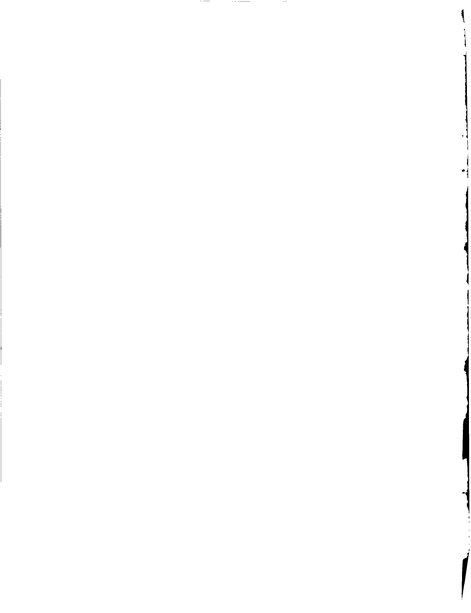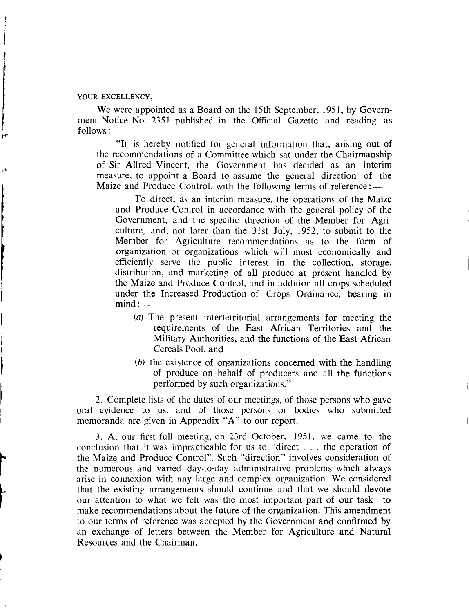#### YOUR EXCELLENCY,

F"

t'

l', I

We were appointed as a Board on the 15th September, 1951, by Government Notice No. 2351 published in the Official Gazette and reading as follows: -

"It is hereby notified for general information that, arising out of the recommendations of a Committee which sat under the Chairmanship of Sir Alfred Vincent, the Government has decided as an interim measure, to appoint a Board to assume the general direction of the Maize and Produce Control, with the following terms of reference:—

a rioduce Control, with the following terms of reference.—<br>To direct, as an interim measure, the operations of the Maize and Produce Control in accordance with the general policy of the Government, and the specific direction of the Member for Agriculture, and, not later than the 31st July, 1952, to submit to the Member for Agriculture recommendations as to the form of organization or organizations which will most economically and efficiently serve the public interest in the collection, storage, distribution, and marketing of all produce at present handled by the Maize and Produce Control, and in addition all crops scheduled under the Increased Production of Crops Ordinance, bearing in  $mind:$ 

- (a) The present interterritorial arrangements for meeting the requirements of the East African Territories and the Military Authorities, and the functions of the East African Cereals Pool, and
- $(b)$  the existence of organizations concerned with the handling of produce on behalf of producers and all the functions performed by such organizations."

2. Complete lists of the dates of our meetings, of those persons who gave oral evidence to us, and of those persons or bodies who submitted memoranda are given in Appendix "A" to our report.

3. At our first full meeting, on 23rd October, 1951, we came to the conclusion that it was impracticable for us to "direct . . the operation of the Maize and Produce Control". Such "direction" involves consideration of the numerous and varied day-to-day administrative problems which always arise in connexion with any large and complex organization. We considered that the existing arrangements should continue and that we should devote our attention to what we felt was the most important part of our task-to make recommendations about the future of the organization. This amendment to our terms of reference was accepted by the Government and confirmed by an exchange of letters between the Member for Agriculture and Natural Resources and the Chairman.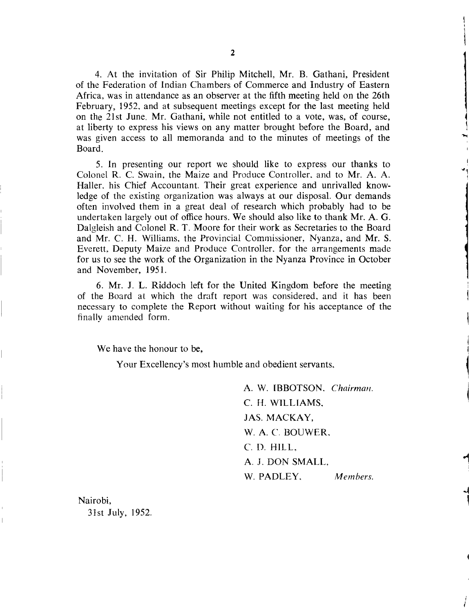4. At the invitation of Sir Philip Mitchell, Mr. B. Gathani, President of the Federation of Indian Chambers of Commerce and Industry of Eastern Africa, was in attendance as an observer at the flfth meeting held on the 26th February, 1952, and at subsequent meetings except for the last meeting held on the 21st June. Mr. Gathani, while not entitled to a vote, was, of course, at liberty to express his views on any matter brought before the Board, and was given access to all memoranda and to the minutes of meetings of the Board.

5. In presenting our report we should like to express our thanks to Colonel R. C. Swain, the Maize and Produce Controller. and to Mr. A. A. Haller. his Chief Accountant. Their great experience and unrivalled knowledge of the existing organization was always at our disposal. Our demands often involved them in a great deal of research which probably had to be undertaken largely out of office hours. We should also like to thank Mr. A. G. Dalgleish and Colonel R. T. Moore for their work as Secretaries to the Board and Mr. C. H. Williams, the Provincial Commissioner, Nyanza, and Mr. S. Everett. Deputy Maize and Produce Controller. for the arangements made for us to see the work of the Organization in the Nyanza Province in October and November, 1951.

6. Mr. J. L. Riddoch left for the United Kingdom before the meeting of the Board at which the draft report was considered. and it has been necessary to complete the Report without waiting for his acceptance of the finally amended form.

We have the honour to be,

Your Excellency's most humble and obedient seryants.

A. W. IBBOTSON. Chairman. C. H. W]LLIAMS. JAS. MACKAY, W. A. C. BOUWER. C. D. HILL, A. J. DON SMALL. W. PADLEY. Members. (

I

1

J I

Nairobi, 31st July, 1952.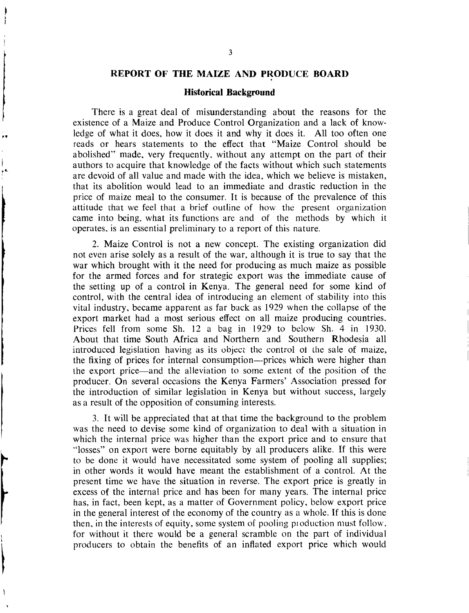#### REPORT OF THE MAIZE AND PRODUCE BOARD

#### Historical Background

There is a great deal of misunderstanding about the reasons for the existence of a Maize and Produce Control Organization and a lack of knowledge of what it does, how it does it and why it does it. All too often one reads or hears statements to the effect that "Maize Control should be abolished" made, very frequently. without any attempt on the part of their authors to acquire that knowledge of the facts without which such statements are devoid of all value and made with the idea, which we believe is mistaken, that its abolition would lead to an immediate and drastic reduction in the price of maize meal to the consumer. It is because of the prevalence of this attitude that we feel that a brief outline of how the present organization came into being, what its functions are and of the methods by which it operates. is an essential preliminary to a report of this nature.

tl

I !1

I

I

2. Maize Control is not a new concept. The existing organization did not even arise solely as a result of the war, although it is true to say that the war which brought with it the need for producing as much maize as possible for the armed forces and for strategic export was the immediate cause of the setting up of a control in Kenya. The general need for some kind of control, with the central idea of introducing an element of stability into this vital industry, became apparent as far back as 1929 when the collapse of the export market had a most serious effect on all maize producing countries. Prices fell from some Sh. 12 a bag in 1929 to below Sh. 4 in 1930. About that time South Africa and Northern and Southern Rhodesia all introduced legislation having as its object the control of the sale of maize, the fixing of prices for internal consumption—prices which were higher than the export price-and the alleviation to some extent of the position of the producer. On several occasions the Kenya Farmers' Association pressed for the introduction of similar legislation in Kenya but without success, largely as a result of the opposition of consuming interests.

3. It will be appreciated that at that time the background to the problem was the need to devise some kind of organization to deal with a situation in which the internal price was higher than the export price and to ensure that "losses" on export were borne equitably by all producers alike. If this were to be done it would have necessitated some system of pooling all supplies; in other words it would have meant the establishment of a control. At the present time we have the situation in reverse. The export price is greatly in excess of the internal price and has been for many years. The internal price has, in fact, been kept, as a matter of Government policy, below export price in the general interest of the economy of the country as a whole. If this is done then, in the interests of equity, some system of pooling production must follow. for without it there would be a general scramble on the part of individual producers to obtain the beneflts of an inflated export price which would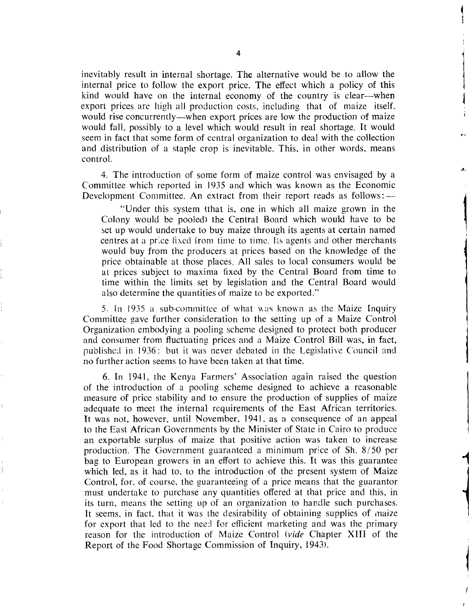inevitably result in internal shortage. The alternative would be to allow the internal price to follow the export price. The effect which a policy of this kind would have on the internal economy of the country is clear-when export prices are high all production costs, including that of maize itself. would rise concurrently—when export prices are low the production of maize would fall. possibly to a level which would result in real shortage. It would seem in fact that some form of central organization to deal with the collection and distribution of a staple crop is inevitable. This, in other words. means control.

4. The introduction of some form of maize control was envisaged by <sup>a</sup> Committee which reported in 1935 and which was known as the Economic Development Committee. An extract from their report reads as follows: -<br>"Under this system (that is, one in which all mains grown in the

"Under this system (that is. one in which all maize grown in the Colony would be pooled) the Central Board which would have to be set up would undertake to buy maize through its agents at certain named centres at a price fixed from time to time. Its agents and other merchants would buy from the producers at prices based on the knowledge of the price obtainable at those places. All sales to local consumers would be at prices subject to maxima fixed by the Central Board from time to time within the limits set by legislation and the Central Board would also determine the quantities of maize to be exported."

5. [n 1935 a sub-cornnrittee of what uus known as the Maize [nquiry Committee gave further consideration to the setting up of a Maize Control Organization embodying a pooling scheme designed to protect both producer and consumer from fluctuating prices and a Maize Control Bill was, in fact, published in 1936: but it was never debated in the Legislative Council and no further action seems to have been taken at that time.

6. In 1941, the Kenya Farmcrs' Association again raised the question of the introduction of a pooling scheme designed to achieve a reasonable lneasure of price stability and to ensure the production of supplies of maize adequate to meet the internal requirements of the East African territories. It was not, however, until November, 1941 . as a consequence of an appeal to the East African Governments by the Minister of State in Cairo to producc an exportable surplus of maize that positive action was taken to increase production. The Government guaranteed a minimum price of Sh. 8/50 per bag to European growers in an effort to achieve this. It was this guarantee which led, as it had to, to the introduction of the present system of Maize Control, for. of course. the guaranteeing of a price means that the guarantor must undertake to purchase any quantities offered at that price and this, in its turn, means the setting np of an organization to handle such purchases. It seems, in fact, that it was the desirability of obtaining supplies of maize for export that led to the need for efficient marketing and was the primary reason for the introduction of Maize Control *(vide* Chapter XIII of the Report of the Food Shortage Commission of Inquiry, 1943).

Ĭ

I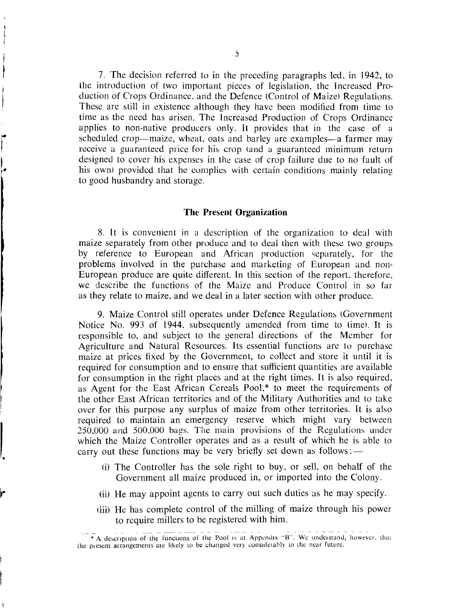<sup>7</sup>. The decision referred to in the preceding paragraphs led. in 1942, to the introduction of two important pieces of legislation, the Increased Production of Crops Ordinance, and the Defence (Control of Maize) Regulations. These are still in existence although they have been modified from time to time as the need has arisen. The Increased Production of Crops Ordinance applies to non-native producers only. It provides that in the case of <sup>a</sup> scheduled crop—maize, wheat, oats and barley are examples—a farmer may receive a guaranteed price for his crop (and a guaranteed minimum return designed to cover his expenses in the case of crop failure due to no fault of his own) provided that he complies with certain conditions mainly relating to good husbandry and storage.

F I I I l :,

ł

i-

#### The Present Organization

8. It is convenient in a description of the organizatiou to deal with maize separately from other produce and to deal then with these two groups by reference 10 European and African production separately, for the problems involved in the purchase and marketing of European and non-European produce are quite different. In this section of the report, therefore, we describe the functions of the Maize and Produce Control in so far as they relate to maize, and we deal in a later section with other produce.

9. Maize Control still operates under Defence Regulations (Government Notice No. 993 of 1944. subsequently amended from time to time). It is responsible to, and subject to the general directions of the Mcmber for Agriculture and Natural Resources. lts essential functions arc to purchasc maize at prices fixed by the Government, to collect and store it until it is required for consumption and to ensure that sufficient quantities are available for consumption in the right places and at the right times. It is also required. as Agent for the East African Cereals Pool,\* to meet the requirements of the other East African territories and of the Military Authorities and to take over for this purpose any surplus of maize from other territories. It is also required to maintain an emergency reserve which might vary betwecn 250,000 and 500,000 bags. The main provisions of the Regulations under which the Maize Controller operates and as a result of which he is able to carry out these functions may be very briefly set down as follows :-

- (i) The Controller has the sole right to buy, or sell, on behalf of the Government all maize produced in, or imported into the Colony.
- (ii) He may appoint agents to carry out such duties as he may specify.
- (iii) He has complete control of the milling of maize through his power to require millers to be registered with him.

<sup>\*</sup> A description of the functions of the Pool is at Appendix "B". We understand, however, that the present arrangements are likely to be changed very considerably in the near future.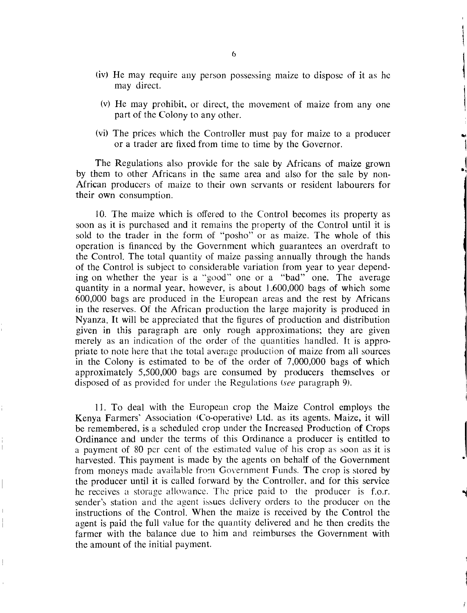- (iv) He may require any person possessing maize to disposc of it as hc may direct.
- (v) He may prohibit, or direct, the movement of maize from any one part of the Colony to any other.
- (vi) The prices which the Controller must pay for maize to a producer or a trader are fixed from time to time by the Governor.

I I rj

٦

The Regulations also provide for the sale by Africans of maize grown by them to other Africans in thc same area and also for the sale by non-African producers of maize to their own scrvants or resident labourers for their own consumption.

I0. The maize which is offered to the Control becomes its property as soon as it is purchased and it remains the property of the Control until it is sold to the trader in the form of "posho" or as maize. The whole of this operation is financed by the Government which guarantees an overdraft to the Control. The total quantity of maize passing annually through the hands of the Control is subject to considerable variation from year to year depending on whether the year is a "good" one or a "bad" one. The average quantity in a normal year, however, is about 1.600,000 bags of which some 600,000 bags are produced in the European areas and the rest by Africans in the reserves. Of the African production the large majority is produced in Nyanza. It will be appreciated that the figures of production and distribution given in this paragraph are only rough approximations; they are given merely as an indication of the order of the quantities handled. It is appropriate to note here that the total averagc produciion of maize from all sources in the Colony is estimated to be of the order of 7,000,000 bags of which approximately 5,500,000 bags are consumed by producers themselves or disposed of as provided for under the Regulations (see paragraph 9).

11. To deal with the European crop the Maize Control employs the Kenya Farmers' Association (Co-operative) Ltd. as its agents. Maize, it will be remembered, is a scheduled crop under the Increased Production of Crops Ordinance and under the terms of this Ordinance a producer is entitled to a payment of 80 pcr cent of the estimated vahre of his crop as soon as it is harvested. This payment is made by the agents on behalf of the Government from moneys made available from Government Funds. The crop is stored by the producer until it is called forward by the Controller. and for this service he receives a storage allowance. The price paid to the producer is f.o.r. sender's station and the agent issues delivery orders to the producer on the instructions of the Control. When the maize is received by the Control the agent is paid the full value for the quantity delivered and he then credits the farmer with the balance due to him and reimburses the Government with the amount of the initial payment.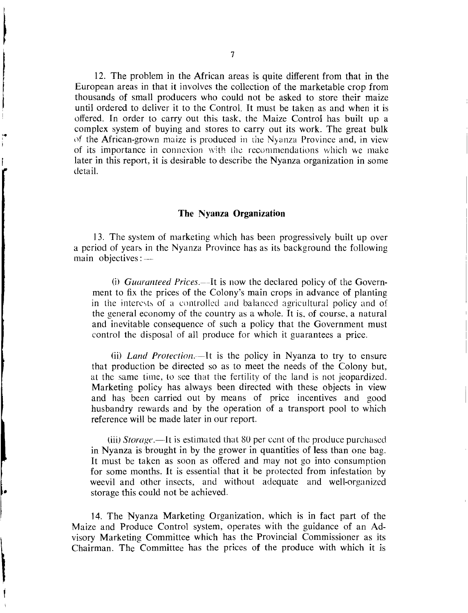12. The problem in the African areas is quite different from that in the European areas in that it involves the collection of the marketable crop from thousands of small producers who could not be asked to store their maize until ordered to deliver it to the Control. It must be taken as and when it is offered. In order to carry out this task, the Maize Control has built up <sup>a</sup> complex system of buying and stores to carry out its work. The great bulk of the African-grown maize is produced in the Nyanza Province and, in view of its importance in connexion n'ith iho lecunrmendations vihich we make later in this report, it is desirable to describe the Nyanza organization in some detail.

# The Nyanza Organization

<sup>I</sup>3. The system of marketing which has been progressively built up over a period of years in the Nyanza Province has as its background the following main objectives: ---

(i) Guaranteed Prices.—It is now the declared policy of the Government to fix the prices of the Colony's main crops in advance of planting in the interests of a controlled and balanced agricultural policy and of the general economy of the country as a whole. It is, of course, a natural and inevitable consequence of such a policy that the Government must control the disposal of all produce for which it guarantees a price.

(ii) Land Protection.---It is the policy in Nyanza to try to ensure that production be directed so as to meet the needs of the Colony but, at the same time, to see that the fertility of the land is not jeopardized. Marketing policy has always been directed with these objects in view and has been carried out by means of price incentives and good husbandry rewards and by the operation of a transport pool to which refcrence will be made later in our report.

(iii) Storage.—It is estimated that 80 per cent of the produce purchased in Nyanza is brought in by the grower in quantities of less than one bag. It must be taken as soon as offered and may not go into consumption for some months. It is essential that it be protected from infestation by weevil and other insects, and without adequate and well-organized storage this could not be achieved.

14. The Nyanza Marketing Organization, which is in fact part of the Maize and Produce Control system, operates with the guidance of an Advisory Marketing Committee which has the Provincial Commissioner as its Chairman. The Committee has the prices of the produce with which it is

I

i I i i

> I I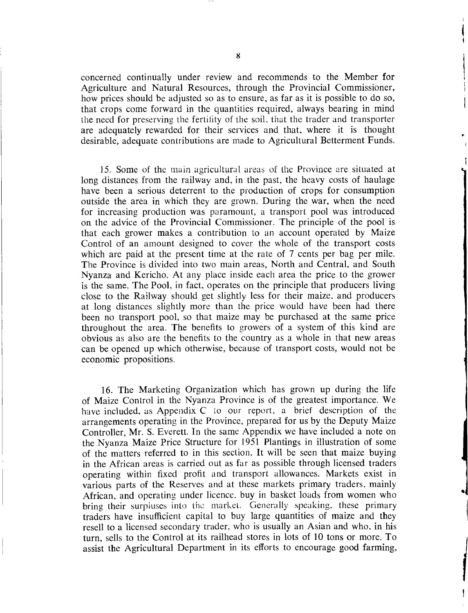concerned continually under review and recommends to the Member for Agriculture and Natural Resources, through the Provincial Commissioner, how prices should be adjusted so as to ensure. as far as it is possible to do so, that crops come forward in the quantities required, always bearing in mind the need for preserving the fertility of the soil, that the trader and transporter are adequately rewarded for their services and that, where it is thought desirable, adequate contributions are made to Agricultural Betterment Funds.

15. Some of the main agricultural areas of the Province are situated at long distances from the railway and, in the past, the heavy costs of haulage have been a serious deterrent to the production of crops for consumption outside the area in which they are grown. During the war, when the need for increasing production was paramount, a transport pool was introduced on the advice of the Provincial Commissioner. The principle of the pool is that each grower makes a contribution io an account operated by Maize Control of an amount designed to cover the whole of the transport costs which are paid at the present time at the rate of 7 cents per bag per mile. The Province is divided into two main areas, North and Central, and South Nyanza and Kericho. At any place inside each area the price to the grower is the same. The Pool, in fact, operates on the principle that producers living close to the Railway should get slightly less for their maize. and producers at long distances slightly more than the price would have been had there been no transport pool, so that maize may be purchased at the same price throughout the area. The benefits to growers of a system of this kind are obvious as also are the benefits to the country as a whole in that new areas can be opened up which otherwise, because of transport costs, would not be economic propositions.

16. The Marketing Organization which has grown up during the life of Maize Control in the Nyanza Province is of the greatest importance. We have included, as Appendix  $C$  to our report, a brief description of the arrangements operating in the Province, prepared for us by the Deputy Maize Controller, Mr. S. Everett. In the same Appendix we have included a note on the Nyanza Maize Price Structure for 1951 Plantings in illustration of some of the matters referred to in this section. It will be seen that maize buying in the African areas is carried out as far as possible through licensed traders operating within fixed profit and transport allowances. Markets exist in various parts of the Reserves and at these markets primary traders. mainly African, and operating under licence. buy in basket loads from women who bring their surpluses into the market. Generally speaking, these primary traders have insufficient capital to buy large quantities of maize and they resell to a licensed secondary trader, who is usually an Asian and who. in his turn, sells to the Control at its railhead stores in lots of 10 tons or more. To assist the Agricultural Department in its efforts to encourage good farming,

I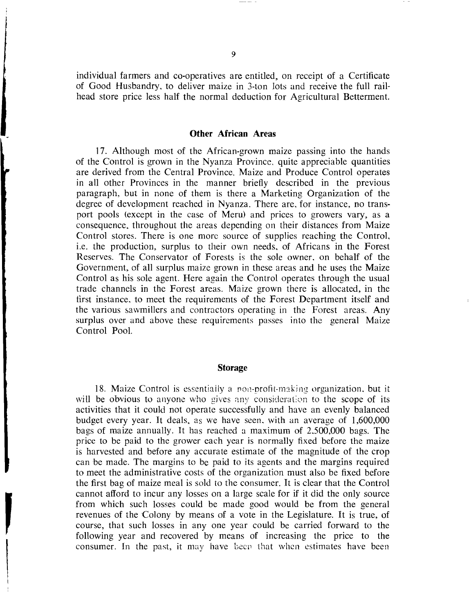individual farmers and co-operatives are entitled, on receipt of a Certificate of Good Husbandry, to deliver maize in 3-ton lots and receive the full railhead store price less half the normal deduction for Agricultural Betterment.

#### Other African Areas

17. Although most of the African-grown maize passing into the hands of the Control is grown in the Nyanza Province, quite appreciable quantities are derived from the Central Province. Maize and Produce Control operates in all other Provinces in the manner briefly described in the previous paragraph, but in none of them is there a Marketing Organization of the degree of development reached in Nyanza. There are, for instance, no transport pools (except in the case of Meru) and prices to growers vary, as <sup>a</sup> consequence. throughout the areas depending on their distances from Maize Control stores. There is one more source of supplies reaching the Control, i.e. the production. surplus to their own needs. of Africans in the Forest Reserves. The Conservator of Forests is the sole owner. on behalf of the Government, of all surplus maize grown in these areas and he uses the Maize Control as his sole agent. Here again the Control operates through the usual trade channels in the Forest areas. Maize grown there is allocated, in the tirst instance. to meet the requirements of the Forest Department itself and the various sawmillers and contractors operating in the Forest areas. Any surplus over and above these requirements passes into the general Maize Control Pool.

### Storage

18. Maize Control is essentially a non-profit-making organization, but it will be obvious to anyone who gives any consideration to the scope of its activities that it could not operate successfully and have an evenly balanced budget every year. It deals. as we have seen. with an average of I,600,000 bags of maize annually. It has reached a maximum of 2.500,000 bags. The price to be paid to the grower each year is normally fixed before the maize is harvested and before any accurate estimate of the magnitude of the crop can be made. The margins to be paid to its agents and the margins required to meet the administrative costs of the organization must also be fixed before the first bag of maize meal is sold to the consumer. It is clear that the Control cannot afford to incur any losses on a large scale for if it did the only source from which such losses could be made good would be from the general revenues of the Colony by means of a vote in the Legislature. It is true, of course, that such losses in any one year could be carried forward to the following year and recovered by means of increasing the price to the consumer. In the past, it may have been that when estimates have been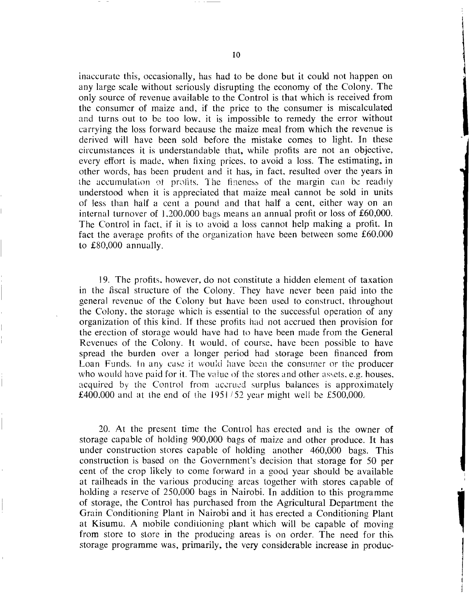inaccuratc this, occasionally, has had to be done but it could not happen on any large scale without seriously disrupting the economy of the Colony. The only source of revenue available to the Control is that which is received from the consumcr of maize and, if the price to the consumer is miscalculated and turns out to be too low. it is impossible to remedy the error without carrying the loss forward because the maize meal from which the revenue is derived will have been sold before the mistake comes to iight. In these circumstances it is understandable that, while profits are not an objective, every effort is made, when fixing prices, to avoid a loss. The estimating, in other words, has been prudenl and it has, in fact, resuited over the years in the accumulation of profits. The fineness of the margin can be readily nnderstood when it is appreciated that maize meal cannot be sold in units of less than half a cent a pound and that half a cent, either way on an internal turnover of 1,200,000 bags means an annual profit or loss of  $£60,000$ . The Control in fact, if it is to avoid a loss cannot help making a profit. In fact the average profits of the organization have been between some £60,000 to  $£80,000$  annually.

19. The profits. however. do not constitute a hidden element of taxation in the fiscal structure of the Colony. They have never been paid into the general revenuc of the Colony but have been used to construct, throughout the Colony, the storage which is essential to the successful operation of any organization of this kind. If these profits had not accrued then provision for the erection of storage would have had to have been made from the Ceneral Revenues of the Colony. lt would. of course. have been possible to have spread the burden over a longer period had storage been financed from Loan Funds. In any case it would have been the consumer or the producer who would have paid for it. The value of the stores and other assets, e.g. houses. acquired by the Control from accrued surplus balances is approximately £400.000 and at the end of the 1951/52 year might well be £500,000.

20. At the present time the Control has erected and is the owner of storage capable of holding 900,000 bags of maize and other produce. It has under construction stores capable of holding another 460,000 bags. This construction is based on the Government's decision that storage for 50 per cent of the crop likely to come forward in a good year should be available. at railheads in the various producing areas together with stores capable of holding a reserve of 250.000 bags in Nairobi. In addition to this programme of storage, the Control has purchased from the Agricultural Department the Grain Conditioning Plant in Nairobi and it has erected a Conditioning Plant at Kisumu. A mobile conditioning plant which will be capable of moving from store to store in the producing areas is on order. The need for this storage programme was, primarily, the very considerable increase in producI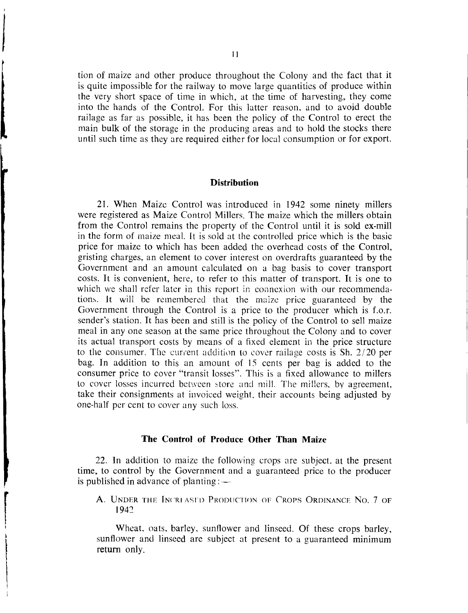tion of maize and other produce throughout the Colony and the fact that it is quite impossible for the railway to move large quantitics of produce within the very short space of time in which, at the time of harvesting, they come into thc hands of the Control. For this latter reason. and to avoid double railage as far as possible, it has been the policy of the Control to erect the main bulk of the storage in the producing areas and to hold the stocks there until such time as they are required either for local consumption or for export.

#### **Distribution**

21. When Maizc Control was introduced in 1942 some ninety millers were registered as Maize Control Millers. The maize which the millers obtain from the Control remains the property of the Control until it is sold ex-mill in the form of maize meal. lt is sold at the controlled price which is the basic price for maize to which has been added the overhead costs of the Control, gristing charges, an element to cover interest on overdrafts guaranteed by the Government and an amount calculated on a bag basis to cover transport costs. It is convenient, here, to refer to this matter of transport. It is one to which we shall refer later in this report in connexion with our recommendations. It will be remembered that the maize price guaranteed by the Government through the Control is a price to the producer which is f.o.r. sender's station. It has been and still is the policy of the Control to sell maize meal in any one season at the same price throughout the Colony and to cover its actual transport costs by means of a fixed element in the price structure to the consumer. The current addition to cover railage costs is Sh.  $2/20$  per bag. In addition to this an amount of 15 cents per bag is added to the consumer price to cover "transit losses". This is a fixed allowance to millers to cover losses incurred between store and mill. The millers, by agreement, take their consignments at invoiced weight, their accounts being adjusted by one-half pcr cent to cover any such loss.

# The Control of Produce Other Than Maize

22. In addition to maize the following crops are subject, at the present time, to control by the Government and a guaranteed price to the producer is published in advance of planting: $-$ 

A. UNDER THE INCREASED PRODUCTION OF CROPS ORDINANCE NO. 7 OF 1942

Wheat. oats, barley. sunflower and linseed. Of these crops barley, sunflower and linseed are subject at present to a guaranteed minimum return only.

i

t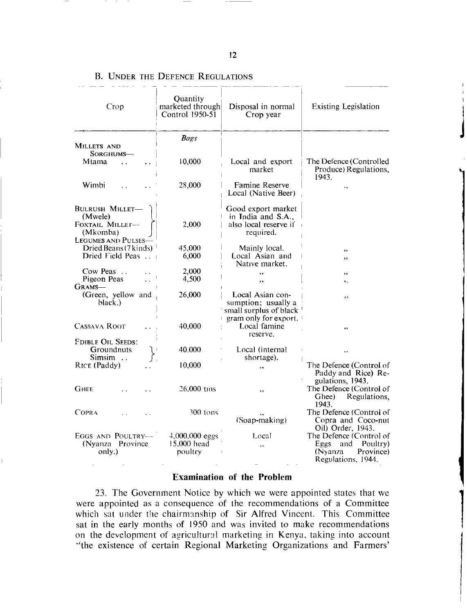|  |  |  |  | <b>B. UNDER THE DEFENCE REGULATIONS</b> |
|--|--|--|--|-----------------------------------------|
|--|--|--|--|-----------------------------------------|

| Crop                                                                                  | Quantity<br>marketed through<br>Control 1950-51 | Disposal in normal<br>Crop year                                                            | <b>Existing Legislation</b>                                                                      |
|---------------------------------------------------------------------------------------|-------------------------------------------------|--------------------------------------------------------------------------------------------|--------------------------------------------------------------------------------------------------|
| MILLETS AND                                                                           | <b>Bags</b>                                     |                                                                                            |                                                                                                  |
| SORGHUMS-<br>Mtama<br>$\ddot{\phantom{a}}$                                            | 10,000                                          | Local and export<br>market                                                                 | The Defence (Controlled<br>Produce) Regulations,<br>1943.                                        |
| Wimbi                                                                                 | 28,000                                          | Famine Reserve<br>Local (Native Beer)                                                      |                                                                                                  |
| <b>BULRUSH MILLET-</b><br>(Mwele)<br>FOXTAIL MILLET-<br>(Mkomba)                      | 2,000                                           | Good export market<br>in India and S.A.,<br>also local reserve if<br>required.             |                                                                                                  |
| <b>LEGUMES AND PULSES-</b><br>Dried Beans (7 kinds) $\frac{1}{2}$<br>Dried Field Peas | 45,000<br>6,000                                 | Mainly local.<br>Local Asian and<br>Native market.                                         | ,,<br>,,                                                                                         |
| Cow Peas<br>Pigeon Peas<br>GRAMS-                                                     | 2,000<br>4,500                                  | $, \,$                                                                                     | ٠,                                                                                               |
| (Green, yellow and<br>black.)                                                         | 26,000                                          | Local Asian con-<br>sumption; usually a<br>small surplus of black<br>gram only for export. | ,,                                                                                               |
| <b>CASSAVA ROOT</b>                                                                   | 40,000                                          | Local famine<br>reserve.                                                                   |                                                                                                  |
| <b>FDIBLE OIL SEEDS:</b><br>Groundnuts<br>$Simsim$ .                                  | 40.000                                          | Local (internal<br>shortage).                                                              |                                                                                                  |
| RICE (Paddy)                                                                          | 10,000                                          | ٠,                                                                                         | The Defence (Control of<br>Paddy and Rice) Re-                                                   |
| GHEE                                                                                  | 26.000 tins                                     | ٠,                                                                                         | gulations, 1943.<br>The Defence (Control of<br>Ghee)<br>Regulations,<br>1943.                    |
| COPR <sub>4</sub>                                                                     | 300 tons                                        | (Soap-making)                                                                              | The Defence (Control of<br>Copra and Coco-nut<br>Oil) Order, 1943.                               |
| EGGS AND POULTRY-<br>(Nyanza Province<br>only.)                                       | 4,000,000 eggs<br>15,000 head<br>poultry        | Local                                                                                      | The Defence (Control of<br>Eggs<br>and<br>Poultry)<br>(Nyanza<br>Province)<br>Regulations, 1944. |

# Examination of the Problem

23. The Government Notice by which we were appointed states that we were appointed as a consequence of the recommendations of a Committee which sat under the chairmanship of Sir Alfred Vincent. This Committee sat in the early months of 1950 and was invited to makc recommendations on the development of agricultural marketing in Kenya, taking into account "the existence of certain Regional Marketing Organizations and Farmers'

I I

J

I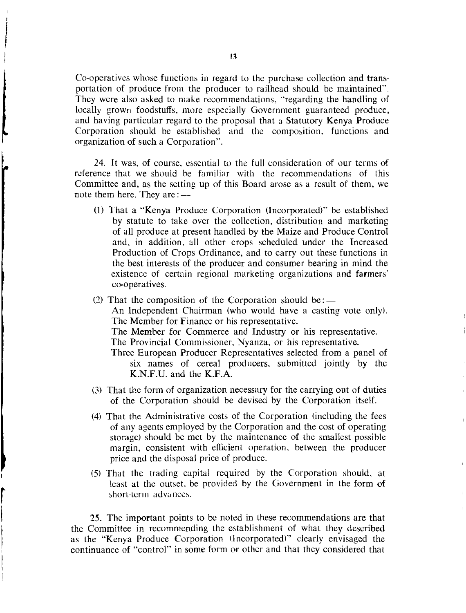Co-operatives whose functions in regard to the purchase collection and transportation of produce from the producer to railhead should be maintained". They were also asked to make recommendations, "regarding the handling of locally grown foodstuffs, more especially Government guaranteed produce, and having particular regard to the proposal that a Statutory Kenya Produce Corporation should be established and the composition, functions and organization of such a Corporation".

24. It was, of course, essential to the full consideration of our terms of reference that we should be familiar with the recommendations of this Committee and, as the setting up of this Board arose as a result of them, we note them here. They are: $-$ 

- (1) That a "Kenya Produce Corporation (lncorporated)" be established by statute to take over the collection, distribution and marketing of all produce at present handled by the Maize and Produce Control and, in addition, all other crops scheduled under the Increased Production of Crops Ordinance, and to carry out these functions in the best interests of the producer and consumer bearing in mind the existencc of certain regional marketing organizations and farmers' co-operatives.
- (2) That the composition of the Corporation should be:  $$ hat the composition of the Corporation should be.—<br>An Independent Chairman (who would have a casting vote only). The Member for Finance or his representative. The Member for Commerce and Industry or his representative. The Provincial Commissioner, Nyanza, or his representative. Three European Producer Representatives selected from a panel of six names of cereal producers. submitted jointly by the K.N.F.U. and the K.F.A.
- (3) That the form of organization necessary for the carrying out of duties of the Corporation should be devised by the Corporation itself.
- (4) That the Administrative costs of the Corporation (including the fees of any agents employed by the Corporation and the cost of operating storage) should be met by the maintenance of the smallest possible margin, consistent with eflicient operation, between the producer price and the disposal price of produce.
- (5) That the trading capital required by the Corporation should. at least at thc outset. be provided by the Government in the form of short-term advances.

25. The important points to bc noted in these recommendations are that the Committee in recommending the establishment of what they described as the "Kenya Produce Corporation (Incorporated)" clearly envisaged the continuance of "control" in some form or other and that they considered that

I I i

i

I l

r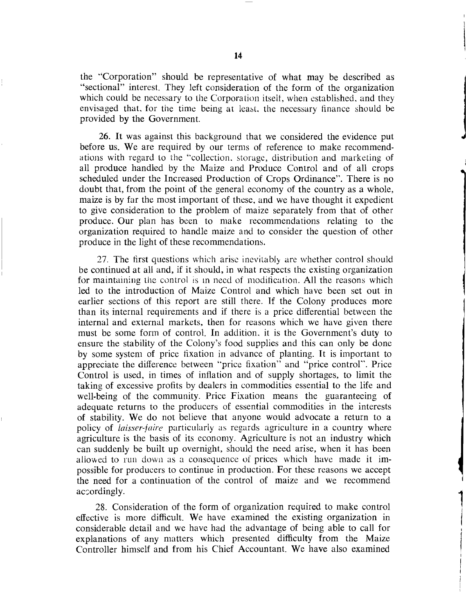the 'iCorporation" should be representative of what may be described as "sectional" interest. They left consideration of the form of the organization which could be necessary to the Corporation itself, when established, and they envisaged that, for the time being at least, the necessary finance should be provided by the Government.

26. It was against this background that we considered the evidence put before us. We are required by our terms of reference to make recommendations with regard to the "collection, storage, distribution and marketing of all produce handled by the Maize and Produce Control and of ali crops scheduled under the Increased Production of Crops Ordinance". There is no doubt that, from the point of the general economy of the country as a whole, matze is by far the most important of these, and we have thought it expedient to give consideration to the problem of maize separately from that of other produce. Our plan has been to make recommendations relating to the organization required to handle maize and to consider the question of other produce in the light of these recommendations.

27. The first questions which arise inevitably are whether control should be continued at all and, if it should, in what respects the existing organization for maintaining the control is in need of modification. All the reasons which led to the introduction of Matze Control and which have been set out in earlier sections of this report are still there. If the Colony produces more than its internal requirements and if there is a price differential between the internal and external markets, then for reasons which we have given there must be some form of control. In addition. it is the Government's duty to ensure the stability of the Colony's food supplies and this can only be done by some system of price fixation in advance of planting. It is important to appreciate the difference between "price fixation" and "price control". Price Control is used, in times of inflation and of supply shortages, to lirnit the taking of excessive proflts by dealers in commodities essential to the life and well-being of the community. Price Fixation means the guaranteeing of adequate returns to the producers of essential commodities in the interests of stability. We do not believe that anyone would advocate a return to <sup>a</sup> policy of *laisser-faire* particularly as regards agriculture in a country where agriculture is the basis of its economy. Agriculture is not an industry which can suddenly be built up overnight, should the need arise, when it has been allowed to run down as a consequence of prices which have made it impossible for producers to continue in production. For these reasons we accept the need for a continuation of the control of maize and we recommend ac:ordingly.

28. Consideration of the form of organization required to make control effective is more difficult. We have examined the existing organization in considerable detail and we have had the advantage of being able to call for explanations of any matters which presented dfficulty from the Maize Controller himself and from his Chief Accountant. We have also examined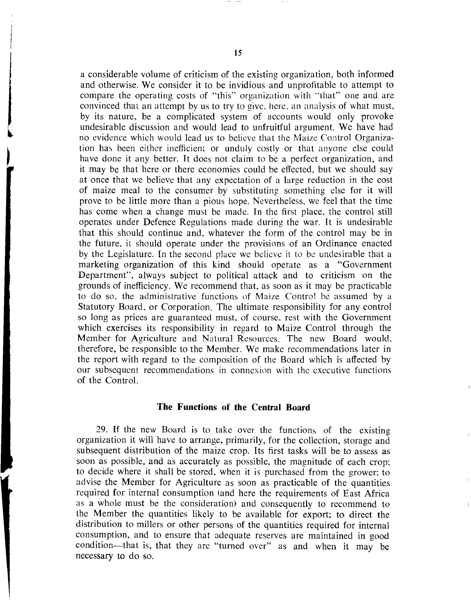a considerable volume of criticism of the existing organization, both informed and otherwise. We consider it to be invidious and unprofitable to attempt to compare the operating costs of "this" organization with "that" one and are convinced that an attempt by us to try to give, here, an analysis of what must, by its nature, be a complicated system of accounts would only provoke undesirable discussion and would lead to unfruitful argument. We have had no evidence which would lead us to believe that the Maize Control Organization has been either inefficient or unduly costly or that anyone else could have done it any better. It does not claim to be a perfect organization, and it may be that here or there economies could be effected, but we should say at once that we believe that any expectation of a large reduction in the cost of maize meal to the consumer by substituting something else for it will prove to be little more than a pious hope. Nevertheless, we feel that the time has come when a change must be made. In the first place. the control still operates under Defence Regulations made during the war. It is undesirable that this should continue and. whatever the form of the control may be in the future, it should operate under the provisions of an Ordinance enacted by the Legislature. In the second place we believe it to be undesirable that a marketing organization of this kind should operate as a "Government Department", always subject to political attack and to criticism on the grounds of inefficiency. We recommend that, as soon as it may be practicable to do so, the administrative functions of Maize Control be assumed by a Statutory Board, or Corporation. The ultimate responsibility for any control so long as prices are guaranteed must. of course. rest with the Government which exercises its responsibility in regard to Maize Control through the Member for Agriculture and Nalural Resources. The new Board would. therefote, be responsible to the Member. We make recommendations later in the report with regard to the composition of the Board which is affected by our subsequent recommendations in connexion with the executive functions of the Control.

I

#### The Functions of the Central Board

29. It the new Board is to take over the functions of the existing organization it will have to arrange, primarily, for the collection, storage and subsequent distribution of the maize crop. Its first tasks will be to assess as soon as possible, and as accurately as possible, the magnitude of each crop: to decide where it shall be stored, when it is purchased from the grower; to advise the Member for Agriculture as soon as practicable of the quantities required for internal consumption (and here the requirements of East Africa as a whole must be the consideration) and consequently to recommend to the Member the quantities likely to be available for export; to direct the distribution to millers or other persons of the quantities required for internal consumption, and to ensure that adequate reserves are maintained in good condition—that is, that they are "turned over" as and when it may be necessary to do so.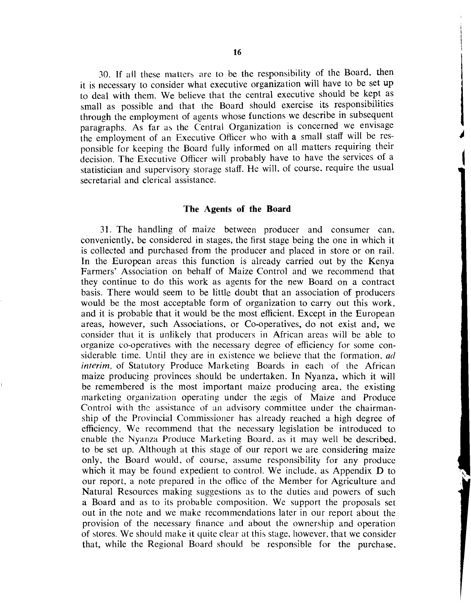30. If all these matters are to be the responsibility of the Board, then it is necessary to consider what executive organization will have to be set up to deal with them. We believe that the central executive should be kept as small as possible and that the Board should exercise its responsibilities through the employment of agents whose functions we describe in subsequent paragraphs. As far as the Central Organization is concerned we envisage the employment of an Executive Officer who with a small staff will be responsible for keeping the Board fully informed on all matters requiring their decision. The Executive Officer will probably have to have the services of a statistician and supervisory storage staff. He will. of course. require the usual secretarial and clerical assistance.

I

#### The Agents of the Board

31. The handling of maize between producer and consumer can. conveniently, be considered in stages, the first stage being the one in which it is collected and purchased from the producer and placed in store or on rail. In the European areas this function is already carried out by the Kenya Farmers' Association on behalf of Maize Control and we recommend that they continue to do this work as agents for the new Board on a contract basis. There would seem to be little doubt that an association of producers would be the most acceptable form of organization to carry out this work, and it is probable that it would be the most efficient. Except in the European areas, however, such Associations, or Co-operatives, do not exist and, we consider that it is unlikely that producers in African areas will be able to organize co-operatives with the necessary degree of efficiency for some considerable time. Until they are in existence we believe that the formation,  $ad$ interim, of Statutory Produce Marketing Boards in each of the African maize producing provinces should be undertaken. fn Nyanza, which it will be remembered is the most important maize producing area. the existing marketing organization operating under the regis of Maize and Produce Control with the assistance of an advisory committee under the chairmanship of the Provincial Commissioner has already reached a high degree of efficiency. We recommend that the necessary legislation be introduced to enable the Nyanza Produce Marketing Board, as it may well be described. to be set up. Although at this stage of our report we are considering maize only, the Board would. of course, assume responsibility for any produce which it may be found expedient to control. We include, as Appendix D to our report. a note prepared in the office of the Member for Agriculture and Natural Resources making suggestions as to the duties and powers of such a Board and as to its probable composition. We support the proposals set out in the note and we make recommendations later in our report about the provision of the necessary finance and about the ownership and operation of stores. We should make it quite clear at this stage, however, that we consider that, while the Regional Board should be responsible for the purchase,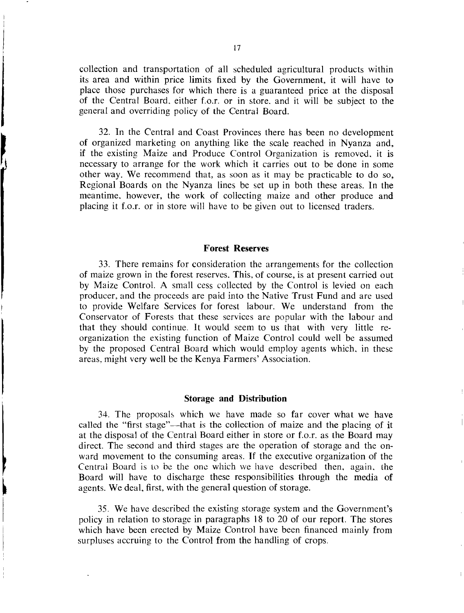collection and transportation of all scheduled agricultural products within its area and within price limits fixed by the Government, it will have to place those purchases for which there is a guaranteed price at the disposal of the Central Board. either f.o.r. or in store. and it will be subject to the general and overriding policy of the Central Board.

32. ln the Central and Coast Provinces there has been no development of organized marketing on anything like the scale reached in Nyanza and, if the existing Maize and Produce Control Organization is removed, it is necessary to arrange for the work which it carries out to be done in some other way. We recommend that, as soon as it may be practicable to do so, Regional Boards on the Nyanza lines be set up in both these areas. In the meantime. however, the work of collecting maize and other produce and placing it f.o.r. or in store will have to be given out to licensed traders.

#### Forest Reseryes

33. There remains for consideration the arrangements for the collection of maize grown in the forest reserves. This. of course, is at present carried out by Maize Control. A small cess collected by the Control is levied on each producer, and the proceeds are paid into the Native Trust Fund and are used to provide Welfare Services for forest labour. We understand from the Conservator of Forests that these services are popular with the labour and that they should continue. It would seem to us that with very little reorganization the existing function of Maize Control could well be assumed by the proposed Central Board which would employ agents which. in these areas. might very well be the Kenya Farmers'Association.

#### Storage and Distribution

34. The proposals which we have made so far cover what we have called the "first stage"—that is the collection of maize and the placing of it at the disposal of the Central Board either in store or f.o.r. as the Board may direct. The second and third stages are the operation of storage and the onward movement to the consuming areas. If the executive organization of the Central Board is to be the one which we have described then, again, the Board will have to discharge these responsibilities through the media of agents. We deal. first. with the general question of storage.

35. We have described the existing storage system and the Government's policy in relation to storage in paragraphs l8 to 20 of our report. The stores which have been erected by Maize Control have been financed mainly from surpluses accruing to the Control from the handling of crops.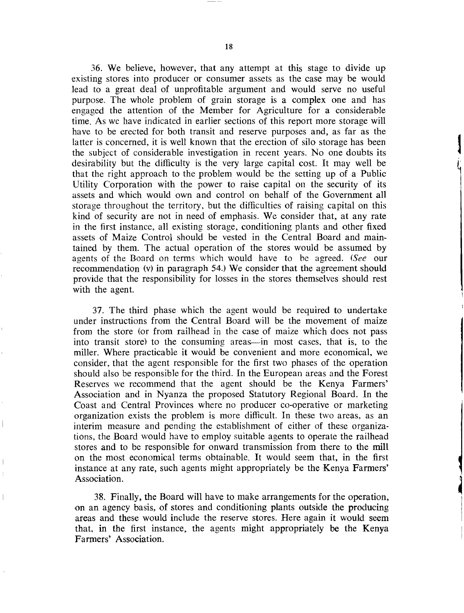36. We believe, however, that any attempt at this stage to divide up existing stores into producer or consumer assets as the case may be would lead to a great deal of unprofitable argument and would serye no useful purpose. The whole problem of grain storage is a complex one and has engaged the attention of the Member for Agriculture for a considerable time. As we have indicated in earlier sections of this report more storage will have to be erected for both transit and reserve purposes and, as far as the latter is concerned, it is well known that the erection of silo storage has been the subject of considerable investigation in recent years. No one doubts its desirability but the difficulty is the very large capital cost. It may well be that the right approach to the problem would be the setting up of a Public Utility Corporation with the power to raise capital on the security of its assets and which would own and control on behalf of the Government all storage throughout the territory, but the difficulties of raising capital on this kind of security are not in need of emphasis. We consider that, at any rate in the first instance, all existing storage, conditioning plants and other fixed assets of Maize Control should be vested in the Central Board and maintained by them. The actual operation of the stores would be assumed by agents of the Board on terms which would have to be agreed. (See our recommendation (v) in paragraph 54.) We consider that the agreement should provide that the responsibility for losses in the stores themselves should rest with the agent.

37. The third phase which the agent would be required to undertake under instructions from the Central Board will be the movement of maize from the store (or from railhead in the case of maize which does not pass into transit store) to the consuming areas—in most cases, that is, to the miller. Where practicable it would be convenient and more economical, we consider, that the agent responsible for the first two phases of the opemtion should also be responsible for the third. In the European areas and the Forest Reserves we recommend that the agent should be the Kenya Fatmers' Association and in Nyanza the proposed Statutory Regional Board. In the Coast and Central Provinces where no producer co-operative or marketing organization exists the problem is more difficult. In these two areas, as an interim measure and pending the establishment of either of these organizations, the Board would have to employ suitable agents to operate the railhead stores and to be responsible for onward transmission from there to the mill on the most economical terms obtainable. It would seem that, in the first instance at any rate, such agents might appropriately be the Kenya Farmers' Association.

38. Finally, the Board will have to make arrangements for the operation, on an agency basis, of stores and conditioning plants outside the producing areas and these would include the reserve stores. Here again it would seem that, in the first instance, the agents might appropriately be the Kenya Farmers' Association.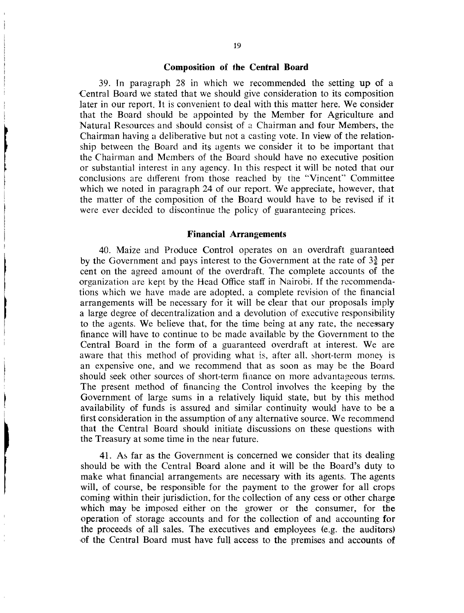#### Composition of the Central Board

39. In paragraph 28 in which we recommended the setting up of <sup>a</sup> Central Board we stated that we should give consideration to its composition later in our report. lt is convenient to deal with this matter here. We consider that the Board should be appointed by the Member for Agriculture and Natural Resources and should consist of a Chairman and four Members, the Chairman having a deliberative but not a casting vote. In view of the relationship between the Board and its agents we consider it to be important that the Chairman and Members of the Board should have no executive position or substantial interest in any agency. In this respect it will be noted that our conclusions are different from those reached by the "Vincent" Committee which we noted in paragraph 24 of our report. We appreciate, however, that the matter of the composition of the Board would have to be revised if it were ever decided to discontinue the policy of guaranteeing prices.

#### Financial Arrangements

40. Maize and Produce Control operates on an overdraft guaranteed by the Government and pays interest to the Government at the rate of  $3\frac{3}{4}$  per cent on the agreed amount of the overdraft. The complete accounts of the organization are kept by the Head Office staff in Nairobi. If the recommendations which we have made are adopted, a complete revision of the financial arrangements will be necessary for it will be clear that our proposals imply a large degree of decentralization and a devolution of executive responsibility to the agents. We believe that, for the time being at any rate, the necessary finance will have to continue to be made available by the Government to the Central Board in the form of a guaranteed overdraft at interest. We are aware that this method of providing what is, after all, short-term money is an expensive one, and we recommend that as soon as may be the Board should seek other sources of short-term finance on more advantageous terms. The present method of flnancing the Control involves the keeping by the Government of large sums in a relatively liquid state, but by this method availability of funds is assured and similar continuity would have to be a first consideration in the assumption of any alternative source. We recommend that the Central Board should initiate discussions on these questions with the Treasury at some time in the near future.

41. As far as the Government is concerned we consider that its dealing should be with the Central Board alone and it will be the Board's duty to make what financial arrangements are necessary with its agents. The agents will, of course, be responsible for the payment to the grower for all crops coming within their jurisdiction, for the collection of any cess or other charge which may be imposed either on the grower or the consumer, for the operation of storage accounts and for the collection of and accounting for the proceeds of all sales. The executives and employees (e.g. the auditors) ,of the Central Board must have full access to the premises and accounts of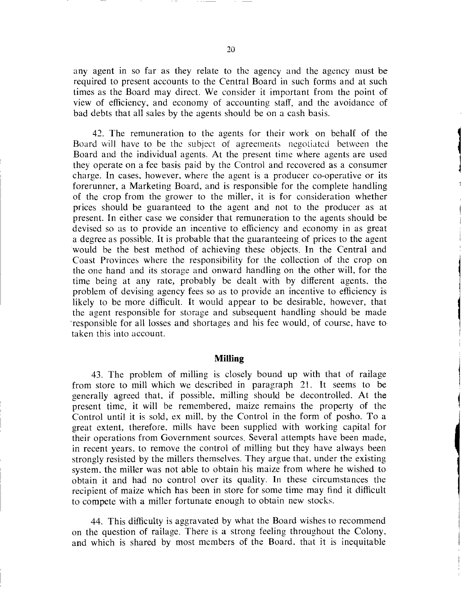any agent in so far as they relate to thc agency and the agency must be required to present accounts to the Central Board in such forms and at such times as the Board may direct. We consider it important from the point of view of efficiency, and economy of accounting staff. and thc avoidance of bad debts that all sales by the agents should be on a cash basis.

42. The remuneration to the agents for their work on behalf of the Board will have to be the subject of agreements negotiated between the Board and the individual agents. At the present time where agents are used they operate on a fee basis paid by the Control and recovered as a consumer charge. [n cases. however. where the agent is a producer co-operative or its forerunner, a Marketing Board, and is responsible for the complete handling of the crop from the grower to the miller, it is for consideration whether prices should be guaranteed to the agent and not to the producer as at present. [n either case we consider that remuneration to the agents should be devised so as to provide an incentive to efficiency and economy in as great a degree as possible. It is probable that the guaranteeing of prices to the agent would be the best method of achieving these objects. In the Central and Coast Provinces where the responsibility for the collection of the crop on the one hand and its storage and onward handling on the other will, for the time being at any rate, probably be dealt with by different agents, the problem of devising agency fees so as to provide an incentive to efficiency is likely to be more difficult. It would appear to be desirable, however, that the agent responsible for storage and subsequent handling should be made 'responsible for all losses and shortages and his fee would, of course, have totaken this into account.

#### Milling

43. The problem of milling is closely bound up with that of railage from store to mill which we described in paragraph 21. It seems to be generally agreed that. if possible, milling should be decontrolled. At the present time. it will be remembered, maize remains the property of the Control until it is sold, ex mill. by the Control in the form of posho. To <sup>a</sup> great extent, therefore. mills have been supplied with working capital for their operations from Government sources. Several attempts have been made, in recent years. to remove the control of milling but they have always been strongly resisted by the millers themselves. They argue that, under the existing system. the miller was not able to obtain his maize from where he wished to obtain it and had no control over its quality. In these circumstances the recipient of maize which has been in store for some time may find it difficult to compete with a miller fortunate enough to obtain new stocks.

44. This difficulty is aggravated by what the Board wishes to recommend on the question of railage. There is a strong feeling throughout the Colony, and which is shared by most members of the Board. that it is inequitable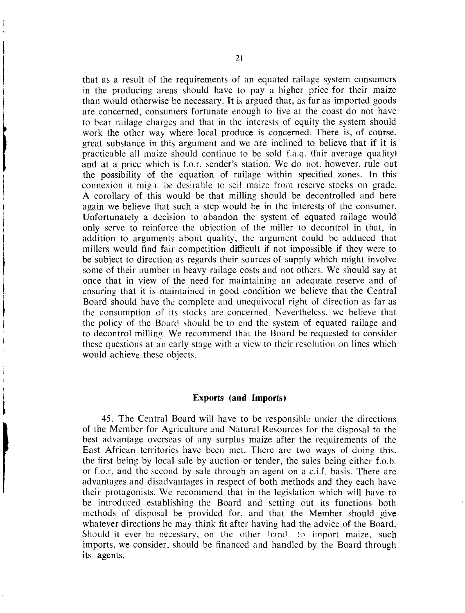that as a result of the requirements of an equated railage system consumers in the producing areas should have to pay a higher price for their maize than would otherwise be necessary. It is argued that, as far as imported goods are concerned, consumers fortunate enough to live at the coast do not have to bear railage charges and that in the interests of equity the system should work the other way where local produce is concerned. There is, of course, great substance in this argument and we are inclined to believe that if it is practicable all maize should continue to be sold f.a.q. (fair average quality) and at a price which is f.o.r. sender's station. We do not. however. rule out the possibility of the equation of railage within specified zones. In this connexion it migh, be desirable to sell maize from reserve stocks on grade. A corollary of this would be that milling should be decontrolled and here again we believe that such a step would be in the interests of the consumer. Unfortunately a decision to abandon the system of equated railage would only serve to reinforce the objection of the miller to decontrol in that, in addition to arguments about quality, the argument could be adduced that millers would find fair competition difficult if not impossible if they were to be subject to direction as regards their sources of supply which might involve some of their number in heavy railage costs and not others. We should say at once that in view of the need for maintaining an aclequate reserve and of ensuring that it is maintained in good condition we believe that the Central Board should have the complete and unequivocal right of direction as far as thc consumption of its stocks are concerned. Nevertheless. we believe that the policy of the Board should be to end the system of equated railage and to decontrol milling. We recommend that the Board be requested to consider these questions at an early stage with a view to their resolution on lines which would achieve these objects.

#### Exports (and Imports)

45. The Central Board will have to be responsible under the directions of the Member for Agriculture and Natural Resources for the disposal to the best advantage overseas of any surplus maize after the requirements of the East African territories have been met. There are two ways of doing this. the first being by local sale by auction or tender, the sales being either f.o.b. or f.o.r. and the second by sale through an agent on a c.i.f. basis. There are advantages and disadvantages in respect of both methods and they each have their protagonists. We recommend that in the legislation which will have to be introduced establishing the Board and setting out its functions both methods of disposal be provided for, and that the Member should give whatever directions he may think fit after having had the advice of the Board. Should it ever be necessary, on the other hand, to import maize, such imports, we consider. should be financed and handled by the Board through its agents.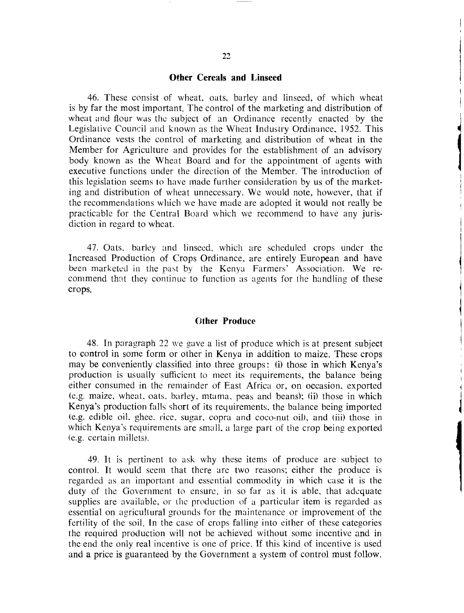#### Ofher Cereals and Linseed

46. These consist of wheat, oats, barley and linseed, of which wheat is by far the most important. The control of the marketing and distribution of wheat and flour was the subject of an Ordinance recently enacted by the Legislative Council and known as the Whert Induslry Ordinauce. 1952. This Ordinance vests the control of marketing and distribution of wheat in the Member for Agriculture and provides for the establishment of an advisory body known as the Wheat Board and for the appointment of agents with executive functions under the direction of the Member. The introduction of this legislation seems to have made further consideration by us of the marketing and distribution of wheat unnecessary. Wc would note, however, that if the recommendations which we have made are adopted it would not really be practicable for the Central Board which we recommend to have any jurisdiction in regard to wheat.

47. Oats. barley and linseed. which are scheduled crops undcr the Increased Production of Crops Ordinance, are entirely European and have been marketed in the past by the Kenya Farmers' Association. We recommend that they continue to function as agents for the handling of these crops.

#### Other Produce

48. In paragraph 22 we gave a list of produce which is at present subject to control in some form or other in Kenya in addition to maize. These crops may be conveniently classified into three groups: (i) those in which Kenya's production is usually sufficient to rneet its requirements, the balance being either consumed in the remainder of Easl Africa or, on occasion. exported (e.g. maize, wheat. oats. barley. mtama. peas and beans); (ii) those in which Kenya's production falls short of its requirements. the balance being imported (e.g. edible oil. ghee. r'ice. sugar. copra and coco-nut oil), and (iii) those in which Kenya's requirements are small, a large part of the crop being exported (e.g. certain millets).

49. lt is pertinent to ask why these items of produce are subject to control. It would scem that there are two reasons; either the produce is regarded as an important and essential commodity in which case it is the duty of the Government to ensure, in so far as it is able, that adequate supplies are available, or the production of a particular item is regarded as essential on agricultural grounds for the maintenance or improvement of the fertility of the soil. In the case of crops falling into either of these categories the required production will not be achieved without some inccntive and in the end the only real incentive is one of price. If this kind of incentive is used and a price is guaranteed by the Government a system of control must follow,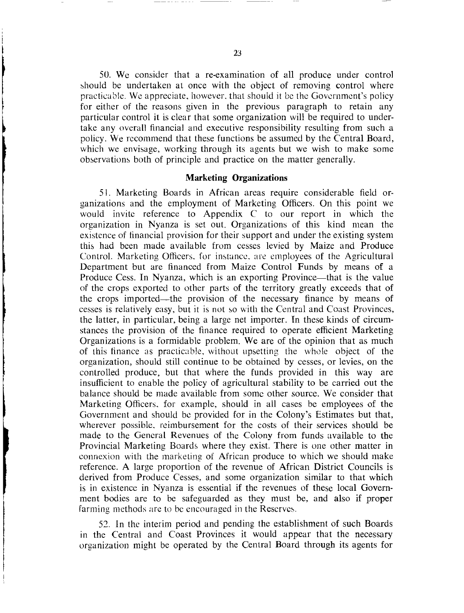50. We consider that a re-examination of all produce under control should be undertaken at once with the object of removing control where practicable. We appreciate, however, that should it be the Government's policy for either of the reasons given in the previous paragraph to retain any particular coutrol it is clear that some organization will be required to undertake any overall flnancial and executive responsibiiity resulting from such a policy. We rccommend that these functions be assumed by the Central Board, which we envisage, working through its agents but we wish to make some observations both of principle and practice on the matter generally.

I

i

t

I

# Marketing Organizations

51. Marketing Boards in African areas require considerable fleld organizations and the employment of Marketing Officers. On this point we would invitc reference to Appendix C to our report in which the organization in Nyanza is set out. Organizations of this kind mean the existence of financial provision for their support and under the existing system this had been made available from cesses levied by Maize and Produce Control. Marketing Officers. for instancc. are cmployees of the Agricultural Department but are financed from Maize Control Funds by means of <sup>a</sup> Produce Cess. In Nyanza, which is an exporting Province—that is the value of the crops exported to other parts of the territory greatly exceeds that of the crops imported-the provision of the necessary flnance by means of cesses is relatively easy, but it is not so with the Central and Coast Provinces, the latter, in particular, being a large net importer. In these kinds of circumstances the provision of the finance required to operate efficient Marketing Organizations is a formidable problem. We are of the opinion that as much of this finance as practicable, without upsetting the whole object of the organization, should still continue to be obtained by cesses, or levies, on the controlled produce, but that where the funds provided in this way are insufficient to enable the policy of agricultural stability to be carried out the balance should be nrade available from somc other source. We consider that Marketing Officers, for example, should in all cases be employees of the Government and shouid bc provided for in the Colony's Estimates but that, wherever possible, reimbursement for the costs of their services should be made to the General Rcvenues of the Colony from funds available to the Provincial Marketing Boards where they exist. There is one other matter in connexion with the marketing of African produce to which we should make reference. A large proportion of the revenue of African District Councils is derived from Produce Cesses, and some organization similar to that which is in existence in Nyanza is essential if the revenues of these local Government bodies are to be safeguarded as they must be, and also if proper farming methods are to be encouraged in the Reserves.

52. In the interim period and pending the establishment of such Boards in the Central and Coast Provinces it would appear that the necessary organizatior might be operated by the Central Board through its agents for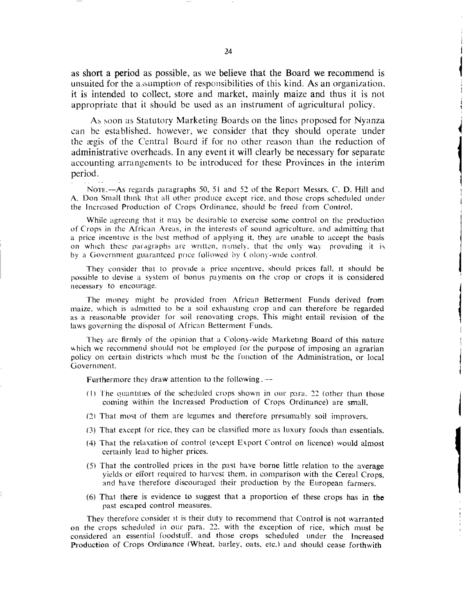as short a period as possible, as we believe that the Board we recommend is unsuited for the assumption of responsibilities of this kind. As an organization, it is intended to collect, store and market, mainly maize and thus it is not appropriate that it should be used as an instrument of agricultural policy.

As soon as Statutory Marketing Boards on the lincs proposed for Nyanza can be established. however. we consider that they should operate under the gegis of the Central Board if for no other reason than the reduction of administrative overheads. In any event it will clearly be necessary for separate accounting arrangements to be introduced for these Provinces in the interim period.

NOTE.-As regards paragraphs 50, 51 and 52 of the Report Messrs. C. D. Hill and A. Don-Small think that all other produce except rice, and those crops scheduled under the Incrcased Production of Crops Orclinance, should bc freed from Control.

While agreeng that it may be desirable to exercise some control on the production of Crops in the African Areas, in the interests of sound agriculture, and admitting that a price incentive is the best method of applying it, they are unable to accept the basis on which these paragraphs are written, namely, that the only way providing it is by a Government guaranteed price followed by Colony-wide control.

They consider that to provide a price incentive, should prices fall, it should be possible to devise a system ol'bonus payments on the crop or crops it is considered necessaty to encouragc.

The money might be provided from African Betterment Funds derived from maize, which is admitted to be a soil exhausting crop and can therefore be regarded as a reasonable provider for soil renovating crops. This might entail revision of the laws governing the disposal of African Betterment Funds.

They are firmly of the opinion that a Colony-wide Marketing Board of this nature which we recommend should not be employed for the purpose of imposing an agrarian policy on certain districts whtch rnust bc the ftrnction of the Administration, or local Government.

Furthermore they draw attention to the following. -

- (1) The quantities of the scheduled crops shown in our para. 22 (other than those coming within the lncreased Production of Crops Ordinance) are small.
- (2) That most of them are legumes and therefore presumably soil improvers.
- (3) That except for rice, they can be classified more as luxury foods than essentials.
- (4) That the relaration of control (e\cept Erport Control on licence) would almost certainly lead to higher prices.
- $(5)$  That the controlled prices in the past have borne little relation to the average vields or effort required to harvest them, in comparison with the Cereal Crops, and have therefote discouraged their production by the European farmers.
- (6) That there is evidence to suggest that a proportion of these crops has in tho past escaped control measures.

They therefore consider it is their duty to recommend that Control is not warranted on the crops scheduled in our para. 22, with the exception of rice, which must be considered an essential loodstufl, and those crops scheduled under the Increased Production of Crops Ordinance (Wheat, barley, oats, etc.) and should cease forthwith

I I I I i I

i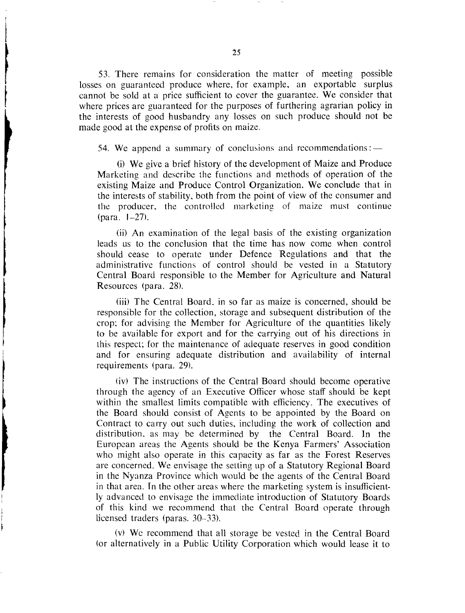$53.$  There remains for consideration the matter of meeting possible losses on guaranteed produce where, for example, an exportable surplus cannot be sold at a price sufficient to cover the guarantee. We consider that where prices are guaranteed for the purposes of furthering agrarian policy in the interests of good husbandry any losses on such produce should not be made good at the expense of profits on maize.

t

I I

I

54. We append a summary of conclusions and recommendations:  $\frac{1}{2}$ 

(i) We give a brief history of the development of Maize and Produce Marketing and describe the functions and nrethods of operation of the existing Maize and Produce Control Organization. We conclude that in the interests of stability, both from the point of view of the consumer and the producer, the controlled marketing of maize must continue  $(para. 1-27).$ 

(ii) An examination of the legal basis of the existing organization leads us to the conclusion that the time has now come when control should cease to operate under Defence Regulations and that the administrative functions of control should be vested in a Statutory Central Board responsible to the Member for Agriculture and Natural Resources (para. 28).

(iii) The Central Board. in so far as maize is concerned, should be responsible for the collection, storage and subsequent distribution of the crop: for advising the Member for Agriculture of the quantities likely to be available for export and for the carrying out of his directions in this respect; for the maintenance of adequate reserves in good condition and for ensuring adequate distribution and availability of internal requirements (para. 29).

(iv) The instructions of the Central Board should become operative through the agency of an Executive Officer whose staff should be kept within the smallest limits compatible with efficiency. The executives of the Board should consist of Agents to be appointed by the Board on Contract to carry out such duties, including the work of collection and distribution. as may be determined by the Central Board. In the Europcan areas the Agents should be the Kenya Farmers' Association who might also operate in this capacity as far as the Forest Reserves are concerned. We envisage the setting up of a Statutory Regional Board in the Nyanza Province which would be the agents of the Central Board in that area. In the other areas where the marketing system is insufficiently advanced to envisage the immediate introduction of Statutory Boards of this kind we recommend that the Central Board operate through Iicensed traders (paras. 30-33).

(v) Wc recommend that all storage be vested in the Central Board (or alternatively in a Public Utility Corporation which would lease it to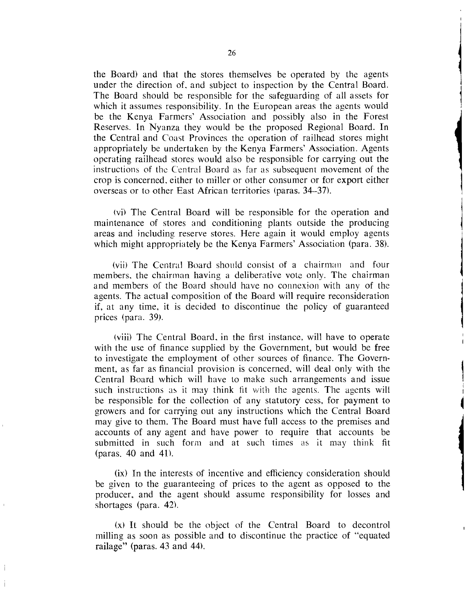the Board) and that the stores themselves be operated by the agents under the direction of. and subject to inspection by the Central Board. The Board should be responsible for the safeguarding of all assets for which it assumes responsibility. In the European areas the agents would be the Kenya Farmers' Association and possibly also in the Forest Reserves. In Nyanza they would be the proposed Regional Board. In the Central and Coast Provinces the operation of railhead stores might appropriately be undertaken by the Kenya Farmers' Association. Agents operating railhead stores would also be responsible for carrying out the instructions of the Central Board as far as subsequent movement of the crop is concerned, either to miller or other consumer or for export either overseas or to other East African territories (paras. 34-37\.

(vi) The Central Board will be responsible for the operation and maintenance of stores and conditioning plants outside the producing areas and including reserve stores. Here again it would employ agents which might appropriately be the Kenya Farmers' Association (para. 38).

(vii) The Central Board should consist of a chairman and four members. the chairman having a deliberative vote only. The chairman and members of the Board should have no conncxion with any of the agents. The actual composition of the Board will require reconsideration if, at any time, it is decided to discontinue the policy of guaranteed prices (para. 39).

(viii) The Central Board. in the flrst instance. will have to operate with the use of finance supplied by the Government, but would be free to investigate the employment of other sources of finance. The Government, as far as financial provision is concerned. will deal only with the Central Board which will have to make such arrangements and issue such instructions as it may think fit with the agents. The agents will be responsible for the collection of any statutory cess, for payment to growers and for carrying out any instructions which the Central Board may give to them. The Board must have full access to the premises and accounts of any agent and have power to require that accounts be submitted in such form and at such times as it may think fit (paras. 40 and 41).

(ix) In the interests of incentive and efficiency consideration should be given to the guaranteeing of prices to the agent as opposed to the producer. and the agent should assume responsibility for losses and shortages (para. 42).

(x) It should be the object of the Central Board to decontrol milling as soon as possible and to discontinue the practice of "equated railage" (paras. 43 and 44\.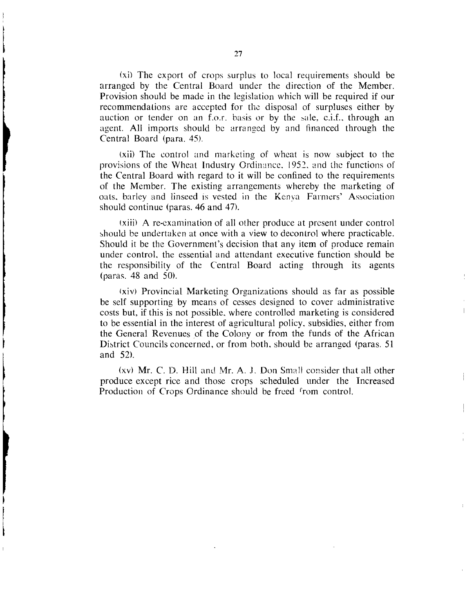(xi) The export of crops surplus to local requirements should be arranged by the Central Board under the direction of the Member. Provision should be made in the legislation which will be required if our recommendations are accepted for the disposal of surpluses either by auction or lender on an f.o.r. basis or by the >ale. c.i.f.. through an agent. All imports should bc arranged by and financed through the Central Board (para. 45).

(xii) The control and marketing of wheat is now subject to the provisions of the Wheat Industry Ordinance, 1952, and the functions of the Central Board with regard to it will be confined to the requirements of the Member. The existing arrangements whereby the marketing of oats, barley and linseed is vested in the Kenya Farmers' Association should continue (paras. 46 and 47).

(xiii) A re-cxamination of all other produce at present under control should be undertaken at once with a view to decontrol where practicable. Should it be the Governmenl's decision that any item of produce remain under control. the essential and attendant executive function should be the responsibility of the Central Board acting through its agents (paras. 48 and 50).

(xiv) Provincial Marketing Organizations should as far as possible be self supporting by means of cesses designed to cover administrative costs but, if this is not possible. where controlled marketing is considered to be essential in the interest of agricultural policy. subsidies, either from the General Revenues of the Colony or from the funds of the African District Councils concerned, or from both. should be arranged (paras. 5l and 52).

 $(xv)$  Mr. C. D. Hill and Mr. A. J. Don Small consider that all other produce except rice and those crops scheduled nnder the Increased Production of Crops Ordinance should be freed from control.

!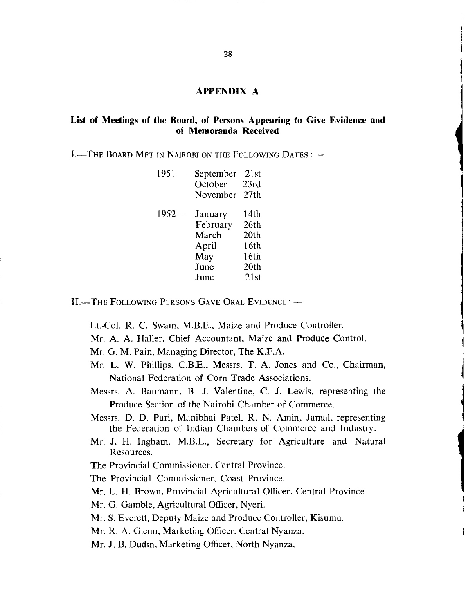# APPENDIX A

# List of Meetings of the Board, of Persons Appearing to Give Evidence and of Memoranda Received

I.-The Board Met in Nairobi on the Following Dates: -

| $1951-$ | September<br>October<br>November                             | 21st<br>– 23rd<br>– 27th                                         |
|---------|--------------------------------------------------------------|------------------------------------------------------------------|
| 1952-   | January<br>February<br>March<br>April<br>May<br>June<br>June | 14th<br>26th<br>20 <sub>th</sub><br>16th<br>16th<br>20th<br>21st |

II.—The Following Persons Gave Oral Evidence: -

Lt.-Col. R. C. Swain, M.B.E.. Maize and Produce Controller.

- Mr. A. A. Haller, Chief Accountant, Maize and Produce Control.
- Mr. G. M. Pain. Managing Director, The K.F.A.
- Mr. L. W. Phillips. C.B.E., Messrs. T. A. Jones and Co., Chairman, National Federation of Corn Trade Associations.
- Messrs. A. Baumann, B. J. Valentine, C. J. Lewis, representing the Produce Section of the Nairobi Chamber of Commerce.
- Messrs. D. D. Puri, Manibhai Patel, R. N. Amin, Jamal, representing the Federation of Indian Chambers of Commerce and Industry.
- Mr. J. H. Ingham, M.B.E., Secretary for Agriculture and Natural Resources.

I I

I

The Provincial Commissioner, Central Province.

The Provincial Commissioner. Coast Province.

Mr. L. H. Brown, Provincial Agricultural Officer, Central Province.

Mr. C. Gamble, Agricultural Officer, Nyeri.

Mr. S. Everett, Deputy Maize and Produce Controller, Kisumu.

Mr. R. A. Glenn, Marketing Officer, Central Nyanza.

Mr. J. B. Dudin, Marketing Officer, North Nyanza.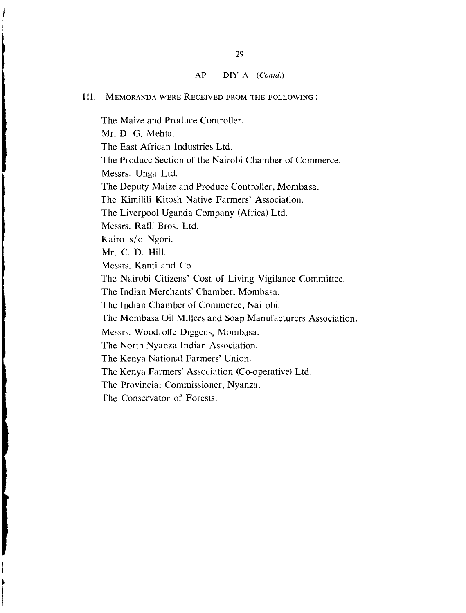#### $DIV A \rightarrow (Cont d.)$ AP

III.—MEMORANDA WERE RECEIVED FROM THE FOLLOWING:-

The Maize and Produce Controller. Mr. D. G. Mehta. The East African Industries Ltd. The Produce Section of the Nairobi Chamber of Commerce. Messrs. Unga Ltd. The Deputy Maize and Produce Controller, Mombasa. The Kimilili Kitosh Native Farmers' Association. The Liverpool Uganda Company (Africa) Ltd. Messrs. Ralli Bros. Ltd. Kairo s/o Ngori. Mr. C. D. Hill. Messrs. Kanti and Co. The Nairobi Citizens' Cost of Living Vigilance Committee. The Indian Merchants' Chamber. Mombasa. The Indian Chamber of Commerce, Nairobi. The Mombasa Oil Millers and Soap Manufacturers Association. Messrs. Woodroffe Diggens, Mombasa. The North Nyanza Indian Association. The Kenya National Farmers' Union. The Kenya Farmers' Association (Co-operative) Ltd. The Provincial Commissioner, Nyanza. 'fhe Conservator of Forests.

I i I

t I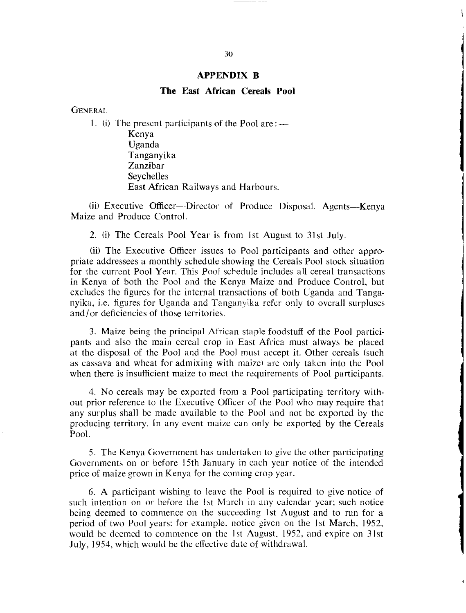### APPENDIX B

# The East African Cereals

GENERAL.

1. (i) The present participants of the Pool are:  $-\frac{1}{2}$ Kenya Uganda Tanganyika Zanzibar Seychelles East African Railways and Harbours.

(ii) Executive Officer---Director of Produce Disposal. Agents---Kenya Maize and Producc Control.

2. (i) The Cereals Pool Year is from 1st August to 31st July.

(ii) The Executive Oflicer issues to Pool participants and other appropriate addressees a monthly schedule showing the Cereals Pool stock situation for the current Pool Year. This Pool schedule includes all cereal transactions in Kenya of both the Pool and the Kenya Maize and Produce Control, but excludes the flgures for the internal transactions of both Uganda and Tanganyika, i.e. figures for Uganda and Tanganyika refer only to overall surpluses and/or deficiencies of those territories.

3. Maize being the principal African staple foodstuff of the Pool participants and also the main cereal crop in East Africa must always be placed at the disposal of the Pool and the Pool must accept it. Other cereals (such as cassava and wheat for admixing with maizel are only taken into the Pool when there is insufficient maize to mect the requirements of Pool participants.

4. No cereals may be exported from a Pool participating territory without prior reference to the Executive Officer of the Pool who may require that any surplus shall be made available to the Pool and not be exported by the producing territory. In any event maize can only be exported by the Cereals Pool.

5. The Kenya Government has undertaken to give the other participating Govcrnments on or before l5th January in cach year notice of the intendcd price of maize grown in Kenya for the coming crop year.

6. A participant wishing to leave the Pool is required to give notice of such intention on or before the 1st March in any calendar year; such notice being deemed to commence on the succeeding lst August and to run for <sup>a</sup> period of two Pool years: for exantple. noticc given on the 1st March, 1952. would be deemed to commence on the 1st August, 1952, and expire on 31st July, 1954, which would be the effective date of withdrawal.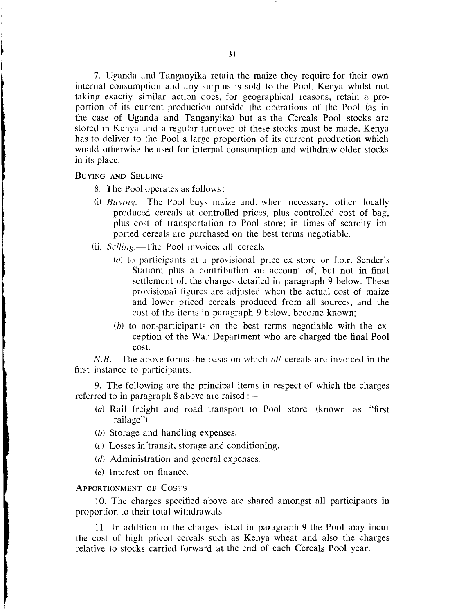7. Uganda and Tanganyika retain the maize they require for their own internal consumption and any surplus is sold to the Pool. Kenya whilst not taking exactiy similar action does, for geographical reasons, retain a proportion of its current production outside the operations of the Pool (as in the case of Uganda and Tanganyika) but as the Cereals Pool stocks are stored in Kenya and a regular turnover of these stocks must be made, Kenya has to deliver to the Pool a large proportion of its current production which would otherwise be used for internal consumption and withdraw older stocks in its place.

# BUYING AND SELLING

i I

I

- 8. The Pool operates as follows: —
- (i) Buying.--The Pool buys maize and, when necessary, other locally produced cereals at controlled prices, plus controlled cost of bag, plus cost of transportation to Pool store; in times of scarcity imported cereals arc purchased on the best terms negotiable.
- (ii) Selling.--The Pool invoices all cereals--
	- (a) to participants at a provisional price ex store or f.o.r. Sender's Station: plus a contribution on account of, but not in final settlement of. the charges detailed in paragraph 9 below. These provisional figures are adjusted when the actual cost of maize and lower priced cereals produced from all sources, and the cost of the items in paragraph 9 below, become known;
	- (b) to non-participants on the best terms negotiable with the exception of the War Department who are charged the final Pool cost.

 $N.B.$ —The above forms the basis on which *all* cereals are invoiced in the first instance to participants.

9. The following are the principal items in respect of which the charges referred to in paragraph 8 above are raised:

- ed to in paragraph 6 above are raised. —<br>(a) Rail freight and road transport to Pool store (known as "first railage").
- (b) Storage and handling expenses.
- (c) Losses in'transit. storage and conditioning.
- (d) Administration and general expenses.
- (e) Interest on finance.

### APPORTIONMENT OF COSTS

10. The charges specifled above are shared amongst all participants in proportion to their total withdrawals.

11. In addition to the charges listed in paragraph 9 the Pool may incur the cost of high priced cereals such as Kenya wheat and also the charges relative to stocks carried forward at the end of each Cereals Pool year.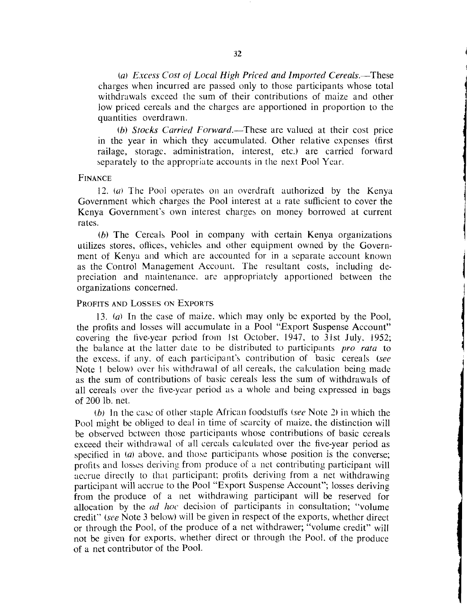(a) Excess Cost of Local High Priced and Imported Cereals.-These charges when incuned are passed only to those participants whose total withdrawals exceed the sum of their contributions of maize and other low priced cereals and the chargcs are apportioned in proportion to the quantities overdrawu.

(b) Stocks Carried Forward.-These are valued at their cost price in the year in which they accumulated. Other relative expenses (first) railage, storagc. administration, interest, etc.) are carried forward separately to the appropriate accounts in the next Pool Year.

#### FINANCE

12.  $(a)$  The Pool operates on an overdraft authorized by the Kenya Government which charges the Pool interest at a rate sufficient to cover the Kenya Government's own interest charges on money borrowed at current rates.

 $(b)$  The Cereals Pool in company with certain Kenya organizations utilizes stores, offices, vehicles and other equipment owned by the Governmcnt of Kenya and which are accounted for in a scparate account known as the Control Management Account. The resultant costs, including depreciation and maintenance, are appropriately apportioned between the organizations concerned.

l

I

f,

#### PROFITS AND LOSSES ON EXPORTS

13. (a) In the case of maize, which may only be exported by the Pool, the profits and losses will accumulate in a Pool "Export Suspense Account" covering the five-year period from 1st October. 1947, to 31st July, 1952; the balance at the latter date to be distributed to participants *pro rata* to the excess, if any, of each participant's contribution of basic cereals (see Note 1 below) over his withdrawal of all cereals, the calculation being made as the sum of contributions of basic cereals less the sum of withdrawals of all cereals over thc five-year period as a whole and being cxpressed in bags of 200 lb. net.

(b) In the case of other staple African foodstuffs (see Note 2) in which the Pool might be obliged to deal in time of scarcity of maize. the distinction will be observed bctween those participants whose contributions of basic cereals exceed their withdrawal of all cercals calculated over thc five-year period as specified in (*a*) above, and those participants whose position is the converse; profits and losses deriving from produce of a net contributing participant will accrue directly to that participant; profits deriving from a net withdrawing participant will accrue to the Pool "Export Suspense Account"; losses deriving from the produce of a net withdrawing participant will be reserved for allocation by the  $ad$  hoc decision of participants in consultation; "volume credit" (see Note 3 below) will be given in respect of the exports, whether direct or through the Pool. of the produce of a net withdrawer; "volume credit" will not be given for exports, whether direct or through the Pool, of the produce of a net contributor of the Pool.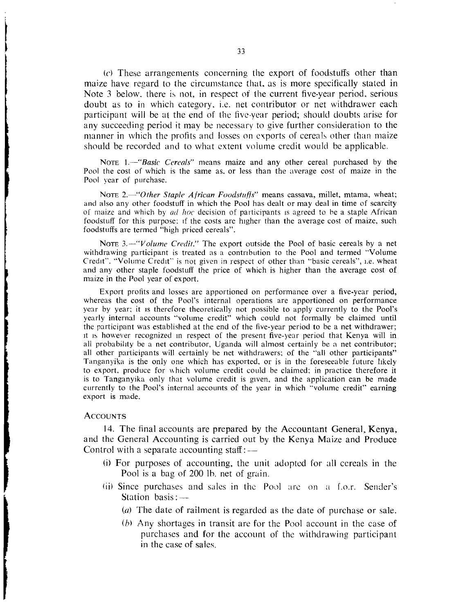(c) These arrangements coucerning the export of foodstults other than maize have regard to the circumstance that. as is more spccifically stated in Note 3 below, there is not, in respect of the current five-year period, serious doubt as to in which category, i.e. net contributor or net withdrawer each participant will be at the end of the five-year period; should doubts arise for any succeeding period it may be necessary to give further consideration to the manner in which the profits and losses on exports of cereals other than maize should be recorded and to what extent volume credit would be applicable.

Nore 1.— "Basic Cereals" means maize and any other cereal purchased by the Pool the cost of which is the same as. or less than the average cost of maize in the Pool vear of purchase.

NOTE 2.—"Other Staple African Foodstuffs" means cassava, millet, mtama, wheat; and also any other foodstuff in which the Pool has dealt or may deal in time of scarcity of maize and which by ad hoc decision of participants is agreed to be a staple African foodstuff for this purpose; if the costs are higher than the average cost of maize, such foodstuffs are termed "high priced cereals".

Nore 3.-"Volume Credit." The export outside the Pool of basic cereals by a net withdrawing participant is treated as a contrrbution to the Pool and termed "Volume Credit". "Volume Credit" is not given in respect of other than "basic cereals", i.e. wheat and any other staple foodstuff the price of which is higher than the average cost of maize in the Pool year of export.

Export profits and losses are apportioned on performance over a five-year period, whereas the cost of the Pool's internal operations are apportioned on performance year by year; it is therefore theoretically not possible to apply currently to the Pool's yearly internal accounts "volume credit" which could not formally be claimed until the participant was established at the end of the five-year period to be a net withdrawer; it is however recognized in respect of the present five-year period that Kenya will in all probabilrty be a net contributor, Uganda will almost certainly be a net contributor; all other participants will certainly be net withdrawers; of the "all other participants" Tanganyika is the only one which has exported, or is in the foreseeable future likely to export, produce for which volume credit could be claimed; in practice therefore it is to Tanganyika only that volume credit is grven, and the application can be made currently to the Pool's internal accounts of the year in which "volume credit" earning export is made.

### **ACCOUNTS**

I I

, t ; I

> 14. The final accounts are prepared by the Accountant General, Kenya, and the General Accounting is carried out by the Kenya Maize and Produce Control with a separate accounting staff:  $-$

- (i) For purposes of accounting, the unit adopted for all ccreals in the Pool is a bag of 200 Ih. net of grain.
- (ii) Since purchases and sales in the Pool are on a f.o.r. Sender's Station basis: $-$ 
	- (a) The date of railment is regarded as the date of purchase or sale.
	- (b) Any shortages in transit are for the Pool account in the case of purchases and for the account of the withdrawing participant in the case of salcs.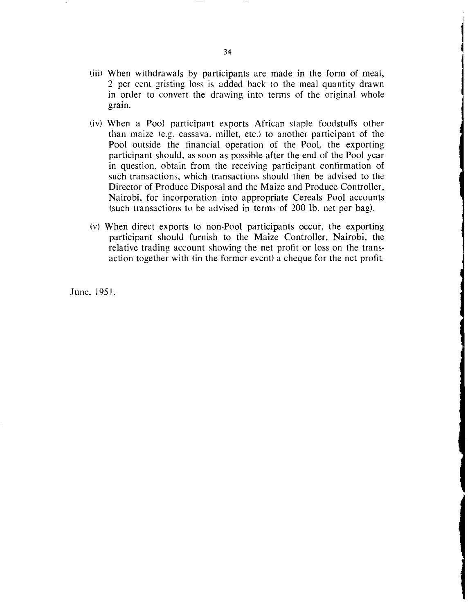- (iii) When withdrawals by participants are made in the form of meal, 2 per cent gristing loss is added back to the meal quantity drawn in order to convert the drawing into terms of the original whole grain.
- (iv) When a Pool participant exports African staple foodstuffs other than maize (e.g. cassava. millet, etc.) to another participant of the Pool outside the financial operation of the Pool, the exporting participant should. as soon as possible after the end of the Pool year in question, obtain from the receiving participant confirmation of such transactions, which transactions should then be advised to the Director of Produce Disposal and the Maize and Produce Controller. Nairobi. for incorporation into appropriate Cereals Pool accounts (such transactions to be advised in terms of 200 lb. net per bag).
- (v) When direct exports to non-Pool participants occur, the exporting participant should furnish to the Maize Controller, Nairobi, the relative trading account showing the net profit or loss on the transaction together with (in the former event) a cheque for the net profit.

June, 1951.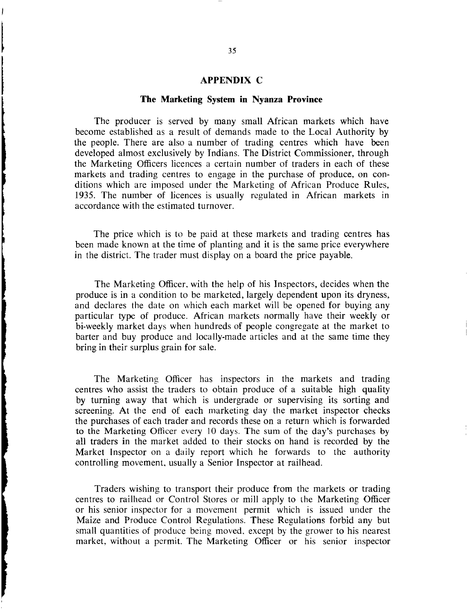# APPENDIX C

#### The Marketing System in Nyanza Province

The producer is served by many small African markets which have become established as a result of demands made to the Local Authority by the people. There are also a number of trading centres which have been developed almost exclusively by Indians. The District Commissioner, through the Marketing Officers licences a certain number of traders in each of these markets and trading centres to engage in the purchase of produce, on conditions which are imposed under the Marketing of African Produce Rules, 1935. The number of licences is usually regulated in African markets in accordance with the estimated turnover.

The price which is to be paid at these markets and trading centres has been made known at the time of planting and it is the same price everywhere in the district. The trader must display on a board the price payable.

The Marketing Officer. with the help of his Inspectors, decides when the produce is in a condition to be marketed, largely dependent upon its dryness, and declares the date on which each market will be opened for buying any particular type of produce. African markets normally have their weekly or bi-weekly market days when hundreds of people congregate at the market to barter and buy produce and locally-made articles and at the same time they bring in their surplus grain for sale.

The Marketing Officer has inspectors in the markets and trading centres who assist the traders to obtain produce of a suitable high quality by turning away that which is undergrade or supervising its sorting and screening. At the end of each marketing day the market inspector checks the purchases of each trader and records these on a return which is forwarded to the Marketing Officer every 10 days. The sum of the day's purchases by all traders in the market added to their stocks on hand is recorded by the Market Inspector on a daily report which he forwards to the authority controlling movement, usually a Senior Inspector at railhead.

Traders wishing to transport their produce from the markets or trading centres to railhead or Control Stores or mill apply to the Marketing Officer or his senior inspector for a movement permit which is issued under the Maize and Produce Control Regulations. These Regulations forbid any but small quantities of produce being moved, except by the grower to his nearest market, without a pcrmit. The Marketing Officer or his senior inspector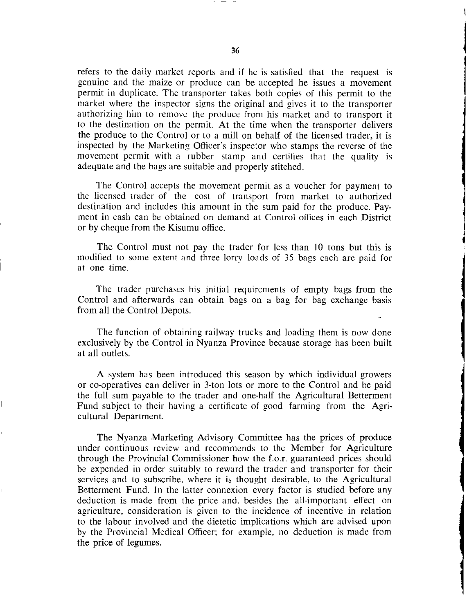refers to the daily market reports and if he is satisfied that the request is genuine and the maize or produce can be accepted he issues a movement permit in duplicate. The transporter takes both copies of this permit to the market where the inspector signs the original and gives it to the transporter authorizing him to remove the produce from his market and to transport it to the destination on the permit. At the time when the transporter delivers the produce to the Control or to a mill on behalf of the licensed trader, it is inspected by the Marketrng Officer's inspector who stamps the reverse of the movement permit with a rubber stamp and certifies that the quality is adequate and the bags are suitable and properly stitched.

The Control accepts the movement permit as a voucher for payment to the licensed lrader of the cost of transport from market to authorized destination and includes this amount in the sum paid for the produce. Payment in cash can be obtained on demand at Control offices in each District or by cheque from the Kisumu office.

The Control must not pay the trader for less than 10 tons but this is modifled to some extent and three lorry loads of 35 bags each are paid for at one time.

The trader purchases his initial requirements of empty bags from the Control and afterwards can obtain bags on a bag for bag exchange basis from all the Control Depots.

The function of obtaining railway trucks and loading them is now done exclusively by the Control in Nyanza Province because storage has been built at all outlets.

A system has been introduced this season by which individual growers or co-operatives can deliver in 3-ton lots or more to the Control and be paid the full sum payable to the trader and one-half the Agricultural Betterment Fund subject to thcir having a certificate of good farming from the Agricultural Department.

The Nyanza Marketing Advisory Committee has the prices of produce under continuous review and recommends to the Member for Agriculture through the Provincial Commissioner how the f.o.r. guaranteed prices should be expended in order suitably to reward the trader and transporter for their scrvices and to subscribe. where it is thought desirable, to the Agricultural Betterment Fund. In the latter connexion every factor is studied before any deduction is made from the price and. besides the all-important effect on agriculture, consideration is given to the incidence of incentive in relation to the labour involved and the dietetic implications which are advised upon by the Provincial Mcdical Officer; for example, no deduction is made from the price of legumes.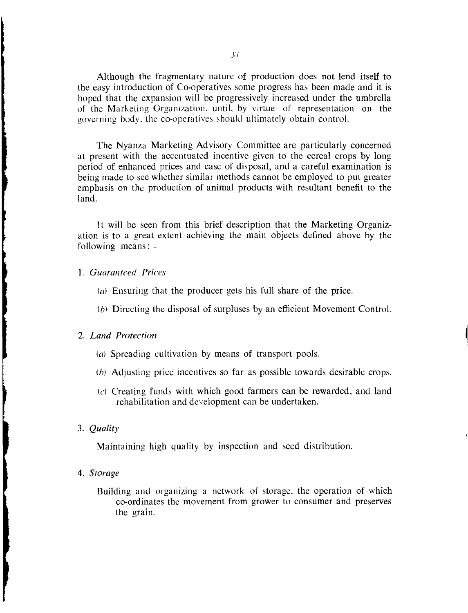Although the fragmentary nature of production does not lend itself to the easy introduction of Co-operatives some progress has been made and it is hoped that the expansion will be progressively increased under the umbrella of the Marketing Organization, until, by virtue of representation on the governing body, the co-operatives should ultimately obtain control.

The Nyanza Marketing Advisory Committee are particularly concerned at present with the accentuated incentive given to the cereal crops by long period of enhanced prices and ease of disposal, and a careful examination is being made to see whether similar methods cannot be employed to put greater emphasis on the production of animal products with resultant benefit to the land.

It will be seen from this brief description that the Marketing Organization is to a great extent achieving the main objects defined above by the following means: -

1. Guaranteed Prices

**The Community of the Community of the Community of the Community of the Community** 

- (a) Ensuring that the producer gets his full share of the price.
- (b) Directing the disposal of surpluses by an efficient Movement Control.

# 2. Land Protection

- (a) Spreading cultivation by means of transport pools.
- (b) Adjusting price incentives so far as possible towards desirable crops.
- (c) Creating funds with which good farmers can be rewarded, and land rehabilitation and development can be undertaken.

# 3. Quality

Maintaining high quality by inspection and seed distribution.

4. Storage

Building and organizing a network of storage, the operation of which co-ordinates the movement from grower to consumer and preservesthe grain.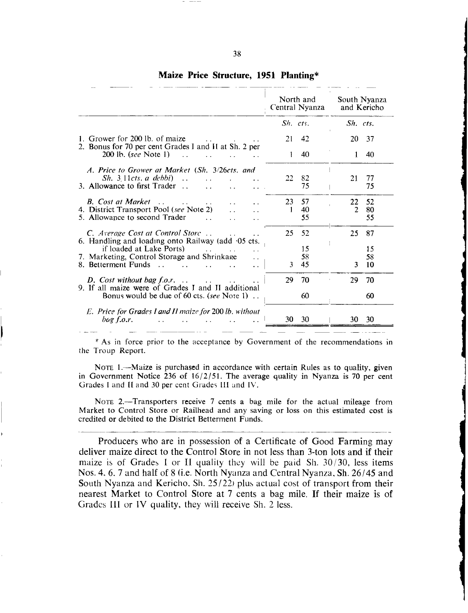|                                                                                                                                                                      | North and<br>Central Nyanza | South Nyanza<br>and Kericho |
|----------------------------------------------------------------------------------------------------------------------------------------------------------------------|-----------------------------|-----------------------------|
|                                                                                                                                                                      | $Sh.$ cts.                  | Sh. cts.                    |
| 1. Grower for 200 lb. of maize                                                                                                                                       | 21                          | 20                          |
| 2. Bonus for 70 per cent Grades I and II at Sh. 2 per                                                                                                                | 42                          | 37                          |
| 200 lb. (see Note 1)                                                                                                                                                 | 40                          | 40                          |
| $\ddot{\phantom{a}}$                                                                                                                                                 | Ŧ                           | 1                           |
| A. Price to Grower at Market (Sh. 3/26cts, and<br>$Sh. 3.11$ cts. a debbi)<br>$\ddot{\phantom{a}}$<br>3. Allowance to first Trader<br>$\ddot{\phantom{a}}$           | 82<br>22<br>75              | 21<br>77<br>75              |
| <b>B.</b> Cost at Market                                                                                                                                             | 23                          | 52                          |
| $\sim$ $\sim$ $\sim$                                                                                                                                                 | 57                          | 22                          |
| 4. District Transport Pool (see Note 2)                                                                                                                              | 40                          | $\overline{2}$              |
| 5. Allowance to second Trader                                                                                                                                        | 1                           | 80                          |
| . .                                                                                                                                                                  | 55                          | 55                          |
| C. Average Cost at Control Store                                                                                                                                     | 25                          | 25                          |
| 6. Handling and loading onto Railway (add $\cdot$ 05 cts.                                                                                                            | -52                         | 87                          |
| if loaded at Lake Ports)<br><b>Contract Contract</b><br>7. Marketing, Control Storage and Shrinkage<br>$\ddot{\phantom{0}}$<br>8. Betterment Funds<br>$\sim 10$      | 15<br>58<br>45<br>3         | 15<br>58<br>3<br>10         |
| D. Cost without bag $f.o.r.$<br><b>Contract Contract</b><br>9. If all maize were of Grades I and II additional<br><b>Bonus would be due of 60 cts. (see Note 1).</b> | 70<br>29<br>60              | 29<br>70<br>60              |
| E. Price for Grades I and II maize for 200 lb. without                                                                                                               | 30                          | 30                          |
| bag f.o.r.                                                                                                                                                           | 30                          | 30                          |

Maize Price Structure, 1951 Planting\*

\* As in force prior to the acceptance by Government of the recommendations in the Troup Report.

NOTE 1.—Maize is purchased in accordance with certain Rules as to quality, given in Government Notice 236 of  $16/2/51$ . The average quality in Nyanza is 70 per cent Grades I and II and 30 per cent Grades III and IV.

Nore 2.—Transporters receive 7 cents a bag mile for the actual mileage from Market to Control Store or Railhead and any saving or loss on this estimated cost is credited or debited to the District Betterment Funds.

Producers who are in possession of a Certificate of Good Farming may deliver maize direct to the Control Store in not less than 3-ton lots and if their maize is of Grades I or II quality they will be paid Sh. 30/30, less items Nos. 4, 6, 7 and half of 8 (i.e. North Nyanza and Central Nyanza, Sh. 26/45 and South Nyanza and Kericho, Sh.  $25/22$  plus actual cost of transport from their nearest Market to Control Store at 7 cents a bag mile. If their maize is of Gradcs llt or lV quality, they will receive Sh. 2 less.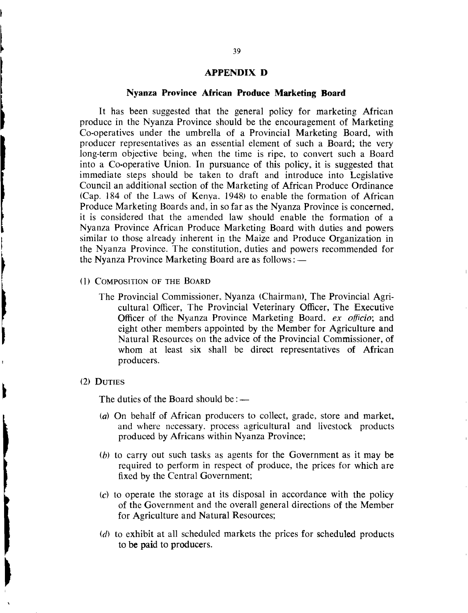# APPENDIX D

#### Nyanza Province African Produce Marketing Board

It has been suggested that the general policy for marketing African produce in the Nyanza Province should be the encouragement of Marketing Co-operatives under the umbrella of a Provincial Marketing Board, with producer representatives as an essential element of such a Board; the very long-term objective being, when the time is ripe, to convert such a Board into a Co-operative Union. In pursuance of this policy, it is suggested that immediate steps should be taken to draft and introduce into Legislative Council an additional section of the Marketing of African Produce Ordinance (Cap. 184 of the Laws of Kenya. 1948) to enable the formation of African Produce Marketing Boards and, in so far as the Nyanza Province is concerned, it is considered that the amended law should enable the formation of <sup>a</sup> Nyanza Province African Produce Marketing Board with duties and powers similar to those already inherent in the Maize and Produce Organization in the Nyanza Province. The constitution, duties and powers recommended for the Nyanza Province Marketing Board are as follows:  $-$ 

- (1) COMPOSITION OF THE BOARD
	- The Provincial Commissioner. Nyanza (Chairman), The Provincial Agricultural Officer, The Provincial Veterinary Officer, The Executive Officer of the Nyanza Province Marketing Board, ex officio; and eight other members appointed by the Member for Agriculture and Natural Resources ou the advice of the Provincial Commissioner, of whom at least six shall be direct representatives of African producers.

### (2) DUTIES

!

The duties of the Board should be: $-$ 

- (a) On behalf of African producers to collect, grade, store and market, and where necessary. process agricultural and livestock products produced by Africans within Nyanza Province;
- (b) to carry out such tasks as agents for the Government as it may be required to perform in respect of produce, the prices for which are fixed by the Central Government;
- $(c)$  to operate the storage at its disposal in accordance with the policy of the Government and the overall general directions of the Member for Agriculture and Natural Resources;
- (d) to exhibit at all scheduled markets the prices for scheduled products to be paid to producers.